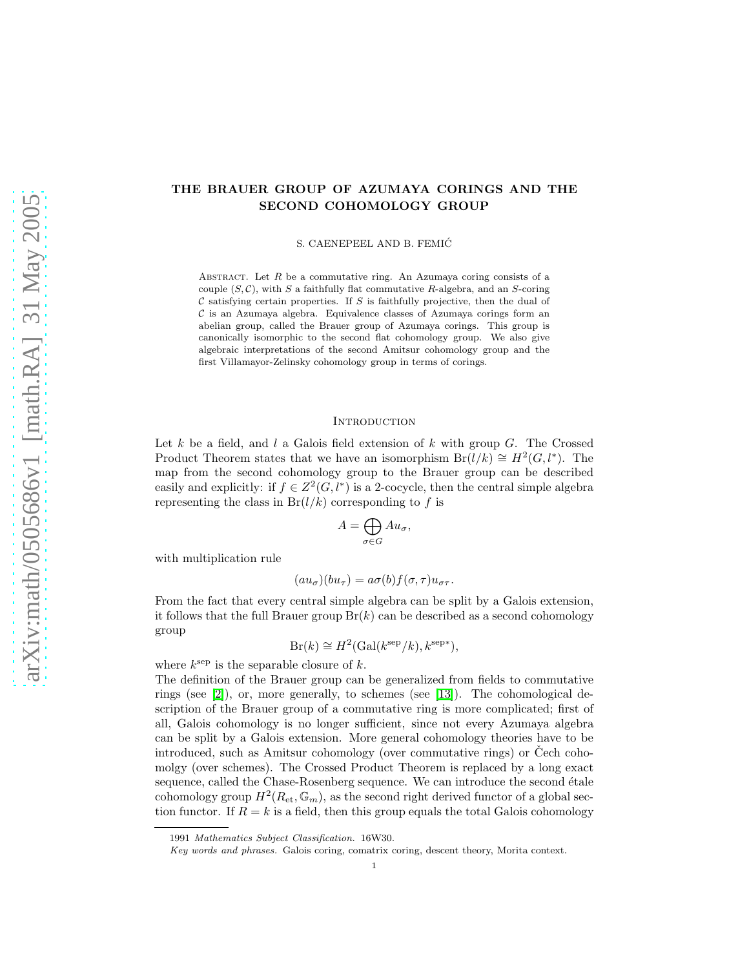# THE BRAUER GROUP OF AZUMAYA CORINGS AND THE SECOND COHOMOLOGY GROUP

S. CAENEPEEL AND B. FEMIC´

ABSTRACT. Let  $R$  be a commutative ring. An Azumaya coring consists of a couple  $(S, \mathcal{C})$ , with S a faithfully flat commutative R-algebra, and an S-coring  $\mathcal C$  satisfying certain properties. If S is faithfully projective, then the dual of  $\mathcal C$  is an Azumaya algebra. Equivalence classes of Azumaya corings form an abelian group, called the Brauer group of Azumaya corings. This group is canonically isomorphic to the second flat cohomology group. We also give algebraic interpretations of the second Amitsur cohomology group and the first Villamayor-Zelinsky cohomology group in terms of corings.

### **INTRODUCTION**

Let  $k$  be a field, and  $l$  a Galois field extension of  $k$  with group  $G$ . The Crossed Product Theorem states that we have an isomorphism  $Br(l/k) \cong H^2(G, l^*)$ . The map from the second cohomology group to the Brauer group can be described easily and explicitly: if  $f \in Z^2(G, l^*)$  is a 2-cocycle, then the central simple algebra representing the class in  $Br(l/k)$  corresponding to f is

$$
A = \bigoplus_{\sigma \in G} Au_{\sigma},
$$

with multiplication rule

$$
(au_{\sigma})(bu_{\tau}) = a\sigma(b)f(\sigma,\tau)u_{\sigma\tau}.
$$

From the fact that every central simple algebra can be split by a Galois extension, it follows that the full Brauer group  $Br(k)$  can be described as a second cohomology group

$$
Br(k) \cong H^2(\text{Gal}(k^{\text{sep}}/k), k^{\text{sep}*}),
$$

where  $k^{\text{sep}}$  is the separable closure of  $k$ .

The definition of the Brauer group can be generalized from fields to commutative rings (see [\[2\]](#page-24-0)), or, more generally, to schemes (see [\[13\]](#page-25-0)). The cohomological description of the Brauer group of a commutative ring is more complicated; first of all, Galois cohomology is no longer sufficient, since not every Azumaya algebra can be split by a Galois extension. More general cohomology theories have to be introduced, such as Amitsur cohomology (over commutative rings) or Cech cohomolgy (over schemes). The Crossed Product Theorem is replaced by a long exact sequence, called the Chase-Rosenberg sequence. We can introduce the second étale cohomology group  $H^2(R_{\text{et}}, \mathbb{G}_m)$ , as the second right derived functor of a global section functor. If  $R = k$  is a field, then this group equals the total Galois cohomology

<sup>1991</sup> Mathematics Subject Classification. 16W30.

Key words and phrases. Galois coring, comatrix coring, descent theory, Morita context.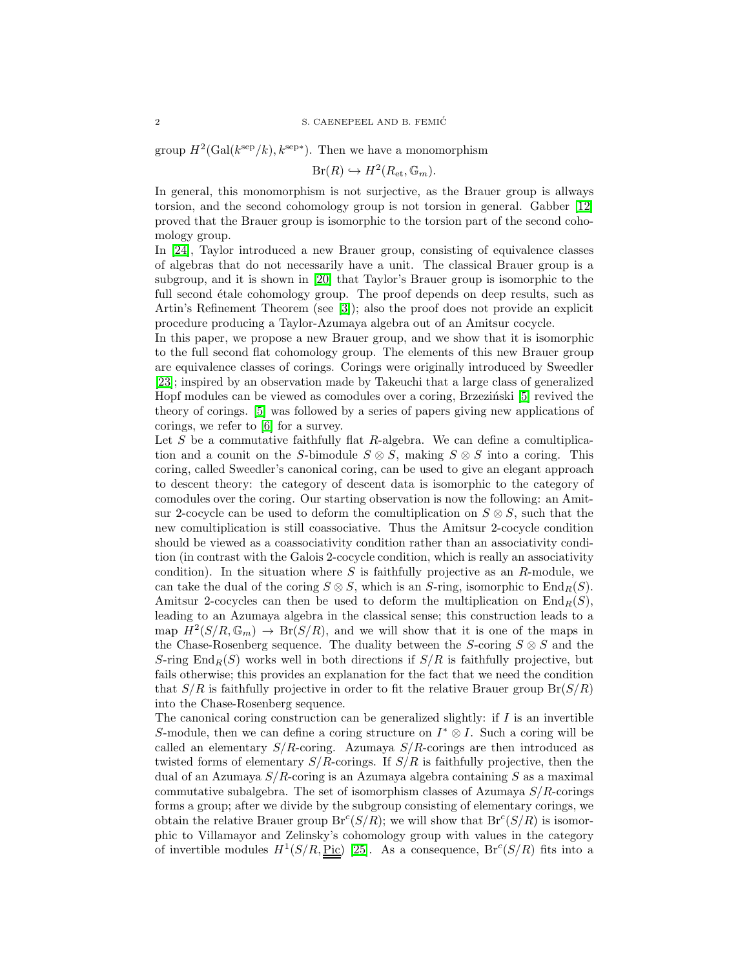group  $H^2(\text{Gal}(k^{\text{sep}}/k), k^{\text{sep}*})$ . Then we have a monomorphism

$$
Br(R) \hookrightarrow H^2(R_{\text{et}}, \mathbb{G}_m).
$$

In general, this monomorphism is not surjective, as the Brauer group is allways torsion, and the second cohomology group is not torsion in general. Gabber [\[12\]](#page-25-1) proved that the Brauer group is isomorphic to the torsion part of the second cohomology group.

In [\[24\]](#page-25-2), Taylor introduced a new Brauer group, consisting of equivalence classes of algebras that do not necessarily have a unit. The classical Brauer group is a subgroup, and it is shown in [\[20\]](#page-25-3) that Taylor's Brauer group is isomorphic to the full second étale cohomology group. The proof depends on deep results, such as Artin's Refinement Theorem (see [\[3\]](#page-24-1)); also the proof does not provide an explicit procedure producing a Taylor-Azumaya algebra out of an Amitsur cocycle.

In this paper, we propose a new Brauer group, and we show that it is isomorphic to the full second flat cohomology group. The elements of this new Brauer group are equivalence classes of corings. Corings were originally introduced by Sweedler [\[23\]](#page-25-4); inspired by an observation made by Takeuchi that a large class of generalized Hopf modules can be viewed as comodules over a coring, Brzeziński  $[5]$  revived the theory of corings. [\[5\]](#page-24-2) was followed by a series of papers giving new applications of corings, we refer to [\[6\]](#page-24-3) for a survey.

Let  $S$  be a commutative faithfully flat  $R$ -algebra. We can define a comultiplication and a counit on the S-bimodule  $S \otimes S$ , making  $S \otimes S$  into a coring. This coring, called Sweedler's canonical coring, can be used to give an elegant approach to descent theory: the category of descent data is isomorphic to the category of comodules over the coring. Our starting observation is now the following: an Amitsur 2-cocycle can be used to deform the comultiplication on  $S \otimes S$ , such that the new comultiplication is still coassociative. Thus the Amitsur 2-cocycle condition should be viewed as a coassociativity condition rather than an associativity condition (in contrast with the Galois 2-cocycle condition, which is really an associativity condition). In the situation where S is faithfully projective as an  $R$ -module, we can take the dual of the coring  $S \otimes S$ , which is an S-ring, isomorphic to End<sub>R</sub>(S). Amitsur 2-cocycles can then be used to deform the multiplication on  $\text{End}_R(S)$ , leading to an Azumaya algebra in the classical sense; this construction leads to a map  $H^2(S/R, \mathbb{G}_m) \to Br(S/R)$ , and we will show that it is one of the maps in the Chase-Rosenberg sequence. The duality between the S-coring  $S \otimes S$  and the S-ring  $\text{End}_R(S)$  works well in both directions if  $S/R$  is faithfully projective, but fails otherwise; this provides an explanation for the fact that we need the condition that  $S/R$  is faithfully projective in order to fit the relative Brauer group  $Br(S/R)$ into the Chase-Rosenberg sequence.

The canonical coring construction can be generalized slightly: if  $I$  is an invertible S-module, then we can define a coring structure on  $I^* \otimes I$ . Such a coring will be called an elementary  $S/R$ -coring. Azumaya  $S/R$ -corings are then introduced as twisted forms of elementary  $S/R$ -corings. If  $S/R$  is faithfully projective, then the dual of an Azumaya S/R-coring is an Azumaya algebra containing S as a maximal commutative subalgebra. The set of isomorphism classes of Azumaya  $S/R$ -corings forms a group; after we divide by the subgroup consisting of elementary corings, we obtain the relative Brauer group  $Br^c(S/R)$ ; we will show that  $Br^c(S/R)$  is isomorphic to Villamayor and Zelinsky's cohomology group with values in the category of invertible modules  $H^1(S/R, Pic)$  [\[25\]](#page-25-5). As a consequence,  $Br^c(S/R)$  fits into a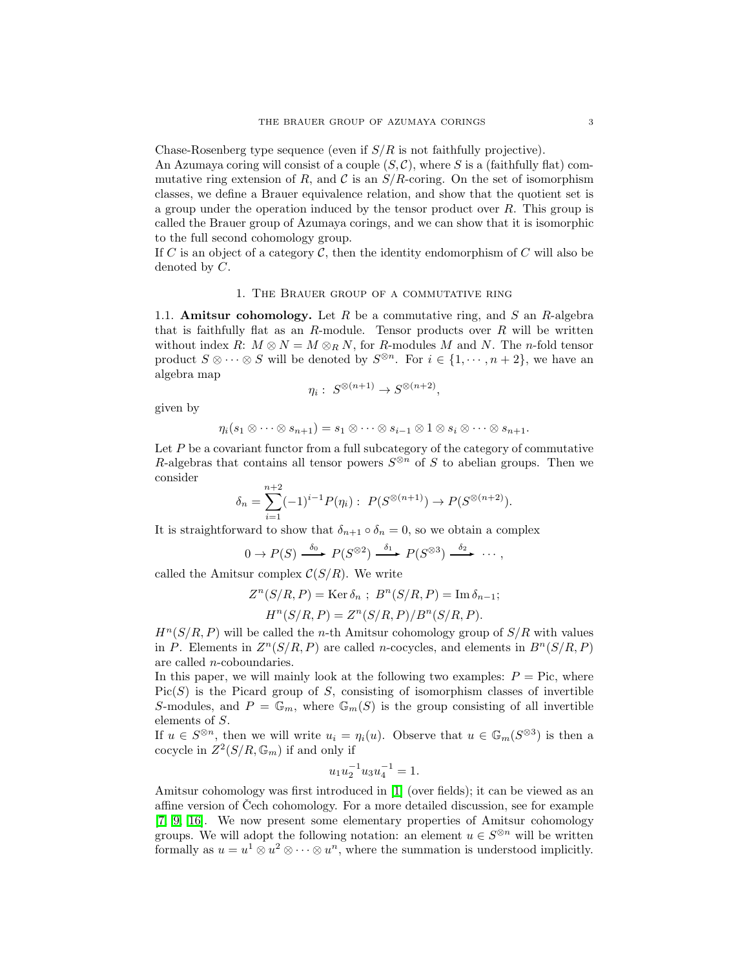Chase-Rosenberg type sequence (even if  $S/R$  is not faithfully projective).

An Azumaya coring will consist of a couple  $(S, \mathcal{C})$ , where S is a (faithfully flat) commutative ring extension of R, and C is an  $S/R$ -coring. On the set of isomorphism classes, we define a Brauer equivalence relation, and show that the quotient set is a group under the operation induced by the tensor product over  $R$ . This group is called the Brauer group of Azumaya corings, and we can show that it is isomorphic to the full second cohomology group.

If C is an object of a category C, then the identity endomorphism of C will also be denoted by C.

#### 1. The Brauer group of a commutative ring

<span id="page-2-1"></span>1.1. **Amitsur cohomology.** Let  $R$  be a commutative ring, and  $S$  an  $R$ -algebra that is faithfully flat as an  $R$ -module. Tensor products over  $R$  will be written without index R:  $M \otimes N = M \otimes_R N$ , for R-modules M and N. The n-fold tensor product  $S \otimes \cdots \otimes S$  will be denoted by  $S^{\otimes n}$ . For  $i \in \{1, \dots, n+2\}$ , we have an algebra map

$$
\eta_i: S^{\otimes (n+1)} \to S^{\otimes (n+2)},
$$

given by

$$
\eta_i(s_1\otimes \cdots \otimes s_{n+1})=s_1\otimes \cdots \otimes s_{i-1}\otimes 1 \otimes s_i\otimes \cdots \otimes s_{n+1}.
$$

Let  $P$  be a covariant functor from a full subcategory of the category of commutative R-algebras that contains all tensor powers  $S^{\otimes n}$  of S to abelian groups. Then we consider

$$
\delta_n = \sum_{i=1}^{n+2} (-1)^{i-1} P(\eta_i) : P(S^{\otimes (n+1)}) \to P(S^{\otimes (n+2)}).
$$

It is straightforward to show that  $\delta_{n+1} \circ \delta_n = 0$ , so we obtain a complex

$$
0 \to P(S) \xrightarrow{\delta_0} P(S^{\otimes 2}) \xrightarrow{\delta_1} P(S^{\otimes 3}) \xrightarrow{\delta_2} \cdots,
$$

called the Amitsur complex  $C(S/R)$ . We write

$$
Z^{n}(S/R, P) = \text{Ker }\delta_n ; B^{n}(S/R, P) = \text{Im }\delta_{n-1};
$$
  

$$
H^{n}(S/R, P) = Z^{n}(S/R, P)/B^{n}(S/R, P).
$$

 $H^{n}(S/R, P)$  will be called the *n*-th Amitsur cohomology group of  $S/R$  with values in P. Elements in  $Z^n(S/R, P)$  are called *n*-cocycles, and elements in  $B^n(S/R, P)$ are called n-coboundaries.

In this paper, we will mainly look at the following two examples:  $P =$  Pic, where  $Pic(S)$  is the Picard group of S, consisting of isomorphism classes of invertible S-modules, and  $P = \mathbb{G}_m$ , where  $\mathbb{G}_m(S)$  is the group consisting of all invertible elements of S.

If  $u \in S^{\otimes n}$ , then we will write  $u_i = \eta_i(u)$ . Observe that  $u \in \mathbb{G}_m(S^{\otimes 3})$  is then a cocycle in  $Z^2(S/R, \mathbb{G}_m)$  if and only if

$$
u_1 u_2^{-1} u_3 u_4^{-1} = 1.
$$

<span id="page-2-0"></span>Amitsur cohomology was first introduced in [\[1\]](#page-24-4) (over fields); it can be viewed as an affine version of Cech cohomology. For a more detailed discussion, see for example [\[7,](#page-24-5) [9,](#page-25-6) [16\]](#page-25-7). We now present some elementary properties of Amitsur cohomology groups. We will adopt the following notation: an element  $u \in S^{\otimes n}$  will be written formally as  $u = u^1 \otimes u^2 \otimes \cdots \otimes u^n$ , where the summation is understood implicitly.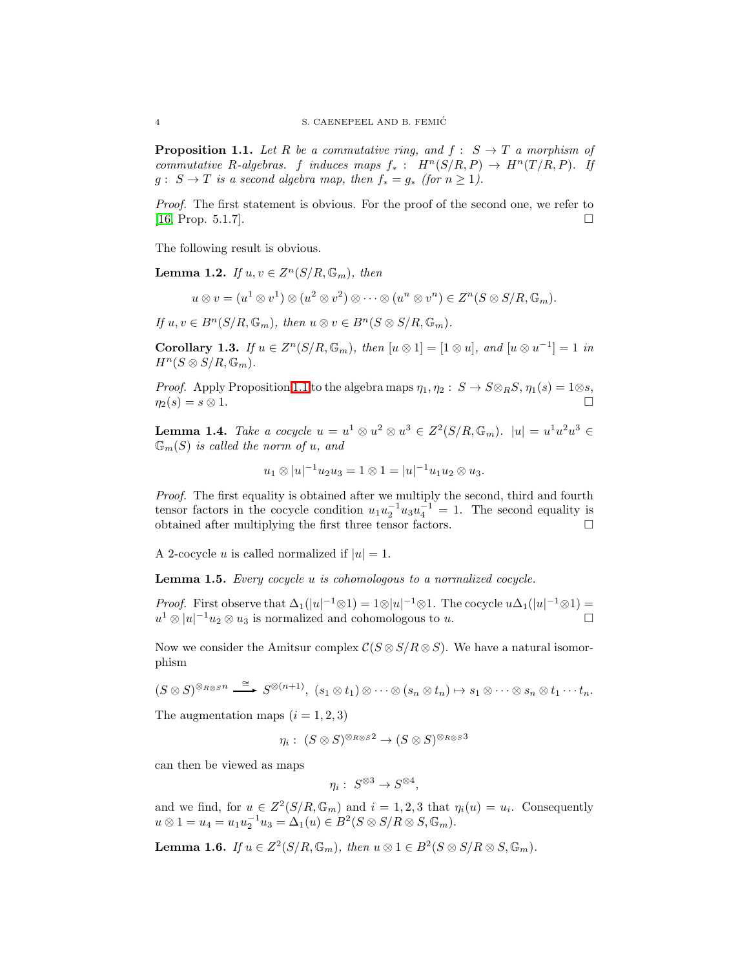**Proposition 1.1.** Let R be a commutative ring, and  $f : S \rightarrow T$  a morphism of commutative R-algebras. f induces maps  $f_*$ :  $H^n(S/R, P) \to H^n(T/R, P)$ . If  $g: S \to T$  is a second algebra map, then  $f_* = g_*$  (for  $n \geq 1$ ).

Proof. The first statement is obvious. For the proof of the second one, we refer to  $[16, Prop. 5.1.7]$  $[16, Prop. 5.1.7]$ .

The following result is obvious.

**Lemma 1.2.** If  $u, v \in Z^n(S/R, \mathbb{G}_m)$ , then

$$
u \otimes v = (u^1 \otimes v^1) \otimes (u^2 \otimes v^2) \otimes \cdots \otimes (u^n \otimes v^n) \in Z^n(S \otimes S/R, \mathbb{G}_m).
$$

If  $u, v \in B<sup>n</sup>(S/R, \mathbb{G}_m)$ , then  $u \otimes v \in B<sup>n</sup>(S \otimes S/R, \mathbb{G}_m)$ .

Corollary 1.3. If  $u \in Z^n(S/R, \mathbb{G}_m)$ , then  $[u \otimes 1] = [1 \otimes u]$ , and  $[u \otimes u^{-1}] = 1$  in  $H^n(S \otimes S/R, \mathbb{G}_m)$ .

*Proof.* Apply Proposition [1.1](#page-2-0) to the algebra maps  $\eta_1, \eta_2 : S \to S \otimes_R S, \eta_1(s) = 1 \otimes s$ ,  $\eta_2(s) = s \otimes 1.$ 

<span id="page-3-1"></span>**Lemma 1.4.** Take a cocycle  $u = u^1 \otimes u^2 \otimes u^3 \in Z^2(S/R, \mathbb{G}_m)$ .  $|u| = u^1 u^2 u^3 \in Z^2(S/R, \mathbb{G}_m)$  $\mathbb{G}_m(S)$  is called the norm of u, and

$$
u_1 \otimes |u|^{-1} u_2 u_3 = 1 \otimes 1 = |u|^{-1} u_1 u_2 \otimes u_3.
$$

Proof. The first equality is obtained after we multiply the second, third and fourth tensor factors in the cocycle condition  $u_1 u_2^{-1} u_3 u_4^{-1} = 1$ . The second equality is obtained after multiplying the first three tensor factors.  $\Box$ 

A 2-cocycle u is called normalized if  $|u|=1$ .

Lemma 1.5. Every cocycle u is cohomologous to a normalized cocycle.

*Proof.* First observe that  $\Delta_1(|u|^{-1}\otimes 1) = 1\otimes |u|^{-1}\otimes 1$ . The cocycle  $u\Delta_1(|u|^{-1}\otimes 1) =$  $u^1 \otimes |u|^{-1}u_2 \otimes u_3$  is normalized and cohomologous to u.

Now we consider the Amitsur complex  $C(S \otimes S/R \otimes S)$ . We have a natural isomorphism

 $(S \otimes S)^{\otimes_{R \otimes S} n} \stackrel{\cong}{\longrightarrow} S^{\otimes (n+1)}, (s_1 \otimes t_1) \otimes \cdots \otimes (s_n \otimes t_n) \mapsto s_1 \otimes \cdots \otimes s_n \otimes t_1 \cdots t_n.$ 

The augmentation maps  $(i = 1, 2, 3)$ 

$$
\eta_i: (S \otimes S)^{\otimes_{R \otimes S} 2} \to (S \otimes S)^{\otimes_{R \otimes S} 3}
$$

can then be viewed as maps

$$
\eta_i:~S^{\otimes 3}\to S^{\otimes 4},
$$

and we find, for  $u \in Z^2(S/R, \mathbb{G}_m)$  and  $i = 1, 2, 3$  that  $\eta_i(u) = u_i$ . Consequently  $u \otimes 1 = u_4 = u_1 u_2^{-1} u_3 = \Delta_1(u) \in B^2(S \otimes S/R \otimes S, \mathbb{G}_m).$ 

<span id="page-3-0"></span>**Lemma 1.6.** If  $u \in Z^2(S/R, \mathbb{G}_m)$ , then  $u \otimes 1 \in B^2(S \otimes S/R \otimes S, \mathbb{G}_m)$ .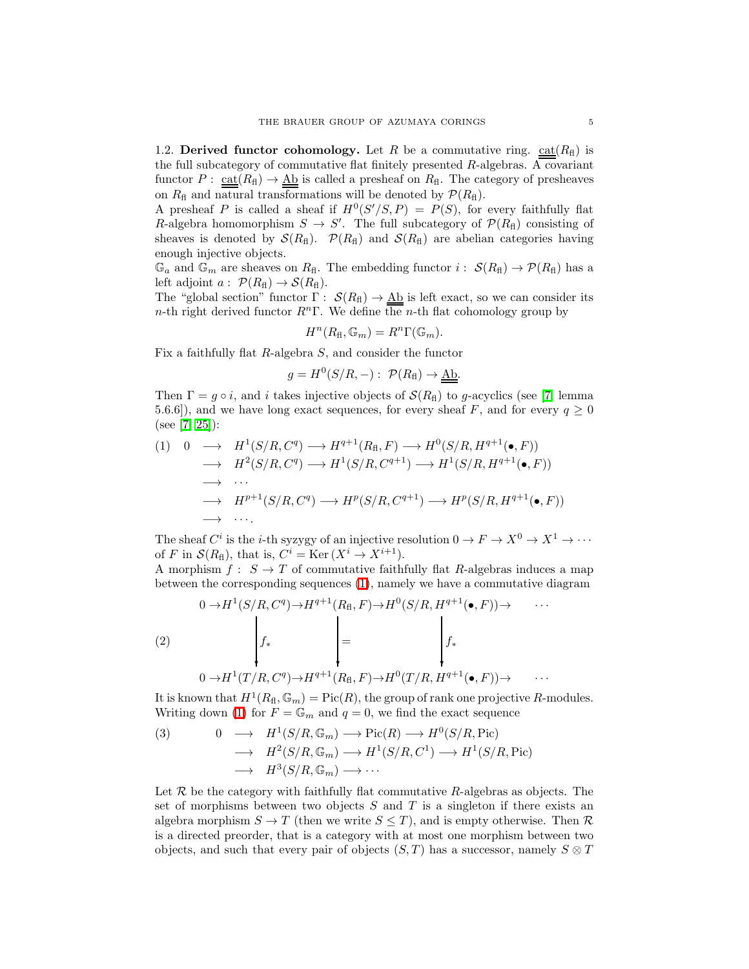1.2. Derived functor cohomology. Let R be a commutative ring.  $ext{cat}(R<sub>H</sub>)$  is the full subcategory of commutative flat finitely presented  $R$ -algebras. A covariant functor  $P: \underline{\text{cat}}(R_{\text{fl}}) \to \underline{\text{Ab}}$  is called a presheaf on  $R_{\text{fl}}$ . The category of presheaves on  $R_f$  and natural transformations will be denoted by  $\mathcal{P}(R_f)$ .

A presheaf P is called a sheaf if  $H^0(S'/S, P) = P(S)$ , for every faithfully flat R-algebra homomorphism  $S \to S'$ . The full subcategory of  $\mathcal{P}(R_{\rm fl})$  consisting of sheaves is denoted by  $\mathcal{S}(R_f)$ .  $\mathcal{P}(R_f)$  and  $\mathcal{S}(R_f)$  are abelian categories having enough injective objects.

 $\mathbb{G}_a$  and  $\mathbb{G}_m$  are sheaves on  $R_{\text{fl}}$ . The embedding functor  $i: S(R_{\text{fl}}) \to \mathcal{P}(R_{\text{fl}})$  has a left adjoint  $a: \mathcal{P}(R_{\text{fl}}) \to \mathcal{S}(R_{\text{fl}})$ .

The "global section" functor  $\Gamma: S(R_{\text{fl}}) \to \underline{\text{Ab}}$  is left exact, so we can consider its n-th right derived functor  $R^n\Gamma$ . We define the n-th flat cohomology group by

$$
H^n(R_{\mathrm{fl}},\mathbb{G}_m)=R^n\Gamma(\mathbb{G}_m).
$$

Fix a faithfully flat R-algebra S, and consider the functor

<span id="page-4-1"></span>
$$
g = H^{0}(S/R, -): \mathcal{P}(R_{\text{fl}}) \to \underline{\text{Ab}}.
$$

Then  $\Gamma = g \circ i$ , and i takes injective objects of  $\mathcal{S}(R_{\text{fl}})$  to g-acyclics (see [\[7,](#page-24-5) lemma 5.6.6]), and we have long exact sequences, for every sheaf F, and for every  $q \ge 0$ (see [\[7,](#page-24-5) [25\]](#page-25-5)):

<span id="page-4-0"></span>
$$
(1) \quad 0 \quad \longrightarrow \quad H^1(S/R, C^q) \longrightarrow H^{q+1}(R_{\mathrm{fl}}, F) \longrightarrow H^0(S/R, H^{q+1}(\bullet, F))
$$
\n
$$
\longrightarrow \quad H^2(S/R, C^q) \longrightarrow H^1(S/R, C^{q+1}) \longrightarrow H^1(S/R, H^{q+1}(\bullet, F))
$$
\n
$$
\longrightarrow \quad \cdots
$$
\n
$$
\longrightarrow \quad H^{p+1}(S/R, C^q) \longrightarrow H^p(S/R, C^{q+1}) \longrightarrow H^p(S/R, H^{q+1}(\bullet, F))
$$
\n
$$
\longrightarrow \quad \cdots.
$$

The sheaf  $C^i$  is the *i*-th syzygy of an injective resolution  $0 \to F \to X^0 \to X^1 \to \cdots$ of F in  $\mathcal{S}(R_{\text{fl}})$ , that is,  $C^i = \text{Ker}(X^i \to X^{i+1})$ .

A morphism  $f: S \to T$  of commutative faithfully flat R-algebras induces a map between the corresponding sequences [\(1\)](#page-4-0), namely we have a commutative diagram

(2)  
\n
$$
\downarrow 0 \to H^1(S/R, C^q) \to H^{q+1}(R_{\text{fl}}, F) \to H^0(S/R, H^{q+1}(\bullet, F)) \to \cdots
$$
\n
$$
\downarrow f_* \qquad \qquad \downarrow = \qquad \qquad \downarrow f_*
$$
\n
$$
0 \to H^1(T/R, C^q) \to H^{q+1}(R_{\text{fl}}, F) \to H^0(T/R, H^{q+1}(\bullet, F)) \to \cdots
$$

It is known that  $H^1(R_{\text{fl}}, \mathbb{G}_m) = \text{Pic}(R)$ , the group of rank one projective R-modules. Writing down [\(1\)](#page-4-0) for  $F = \mathbb{G}_m$  and  $q = 0$ , we find the exact sequence

(3) 
$$
0 \longrightarrow H^1(S/R, \mathbb{G}_m) \longrightarrow Pic(R) \longrightarrow H^0(S/R, Pic)
$$

$$
\longrightarrow H^2(S/R, \mathbb{G}_m) \longrightarrow H^1(S/R, C^1) \longrightarrow H^1(S/R, Pic)
$$

$$
\longrightarrow H^3(S/R, \mathbb{G}_m) \longrightarrow \cdots
$$

Let  $R$  be the category with faithfully flat commutative  $R$ -algebras as objects. The set of morphisms between two objects  $S$  and  $T$  is a singleton if there exists an algebra morphism  $S \to T$  (then we write  $S \leq T$ ), and is empty otherwise. Then  $\mathcal{R}$ is a directed preorder, that is a category with at most one morphism between two objects, and such that every pair of objects  $(S, T)$  has a successor, namely  $S \otimes T$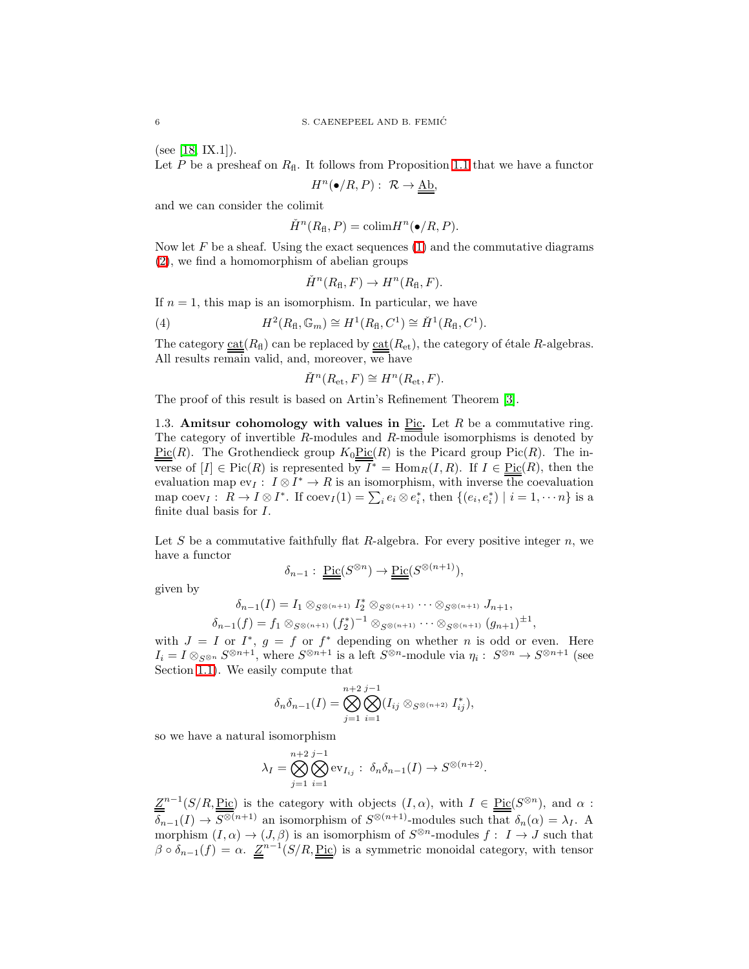(see [\[18,](#page-25-8) IX.1]).

Let  $P$  be a presheaf on  $R_{\text{fl}}$ . It follows from Proposition [1.1](#page-2-0) that we have a functor

$$
H^n(\bullet/R, P): \ \mathcal{R} \to \underline{\underline{\mathrm{Ab}}},
$$

and we can consider the colimit

$$
H^n(R_{\text{fl}}, P) = \text{colim} H^n(\bullet/R, P).
$$

Now let  $F$  be a sheaf. Using the exact sequences  $(1)$  and the commutative diagrams [\(2\)](#page-4-1), we find a homomorphism of abelian groups

$$
H^n(R_{\text{fl}}, F) \to H^n(R_{\text{fl}}, F).
$$

If  $n = 1$ , this map is an isomorphism. In particular, we have

(4) 
$$
H^{2}(R_{\text{fl}}, \mathbb{G}_m) \cong H^{1}(R_{\text{fl}}, C^{1}) \cong \check{H}^{1}(R_{\text{fl}}, C^{1}).
$$

The category  $\text{cat}(R_{\text{fl}})$  can be replaced by  $\text{cat}(R_{\text{et}})$ , the category of étale R-algebras. All results remain valid, and, moreover, we have

$$
H^n(R_{\text{et}}, F) \cong H^n(R_{\text{et}}, F).
$$

The proof of this result is based on Artin's Refinement Theorem [\[3\]](#page-24-1).

1.3. Amitsur cohomology with values in  $Pic$ . Let R be a commutative ring. The category of invertible R-modules and R-module isomorphisms is denoted by  $Pic(R)$ . The Grothendieck group  $K_0Pic(R)$  is the Picard group Pic(R). The inverse of  $[I] \in Pic(R)$  is represented by  $\overline{I}^* = Hom_R(I, R)$ . If  $I \in Pic(R)$ , then the evaluation map  $ev_I: I \otimes I^* \to R$  is an isomorphism, with inverse the coevaluation map  $\text{coev}_I: R \to I \otimes I^*$ . If  $\text{coev}_I(1) = \sum_i e_i \otimes e_i^*$ , then  $\{(e_i, e_i^*) \mid i = 1, \dots n\}$  is a finite dual basis for I.

Let  $S$  be a commutative faithfully flat  $R$ -algebra. For every positive integer  $n$ , we have a functor

$$
\delta_{n-1}: \, \underline{\underline{\mathrm{Pic}}}(S^{\otimes n}) \to \underline{\underline{\mathrm{Pic}}}(S^{\otimes (n+1)}),
$$

given by

$$
\delta_{n-1}(I) = I_1 \otimes_{S^{\otimes (n+1)}} I_2^* \otimes_{S^{\otimes (n+1)}} \cdots \otimes_{S^{\otimes (n+1)}} J_{n+1},
$$
  

$$
\delta_{n-1}(f) = f_1 \otimes_{S^{\otimes (n+1)}} (f_2^*)^{-1} \otimes_{S^{\otimes (n+1)}} \cdots \otimes_{S^{\otimes (n+1)}} (g_{n+1})^{\pm 1},
$$

with  $J = I$  or  $I^*$ ,  $g = f$  or  $f^*$  depending on whether n is odd or even. Here  $I_i = I \otimes_{S^{\otimes n}} S^{\otimes n+1}$ , where  $S^{\otimes n+1}$  is a left  $S^{\otimes n}$ -module via  $\eta_i : S^{\otimes n} \to S^{\otimes n+1}$  (see Section [1.1\)](#page-2-1). We easily compute that

$$
\delta_n \delta_{n-1}(I) = \bigotimes_{j=1}^{n+2} \bigotimes_{i=1}^{j-1} (I_{ij} \otimes_{S^{\otimes (n+2)}} I_{ij}^*),
$$

so we have a natural isomorphism

$$
\lambda_I = \bigotimes_{j=1}^{n+2} \bigotimes_{i=1}^{j-1} \operatorname{ev}_{I_{ij}} : \ \delta_n \delta_{n-1}(I) \to S^{\otimes (n+2)}.
$$

 $\underline{Z}^{n-1}(S/R, \underline{Pic})$  is the category with objects  $(I, \alpha)$ , with  $I \in \underline{Pic}(S^{\otimes n})$ , and  $\alpha$ :  $\delta_{n-1}(I) \to S^{\otimes (n+1)}$  an isomorphism of  $S^{\otimes (n+1)}$ -modules such that  $\delta_n(\alpha) = \lambda_I$ . A morphism  $(I, \alpha) \to (J, \beta)$  is an isomorphism of  $S^{\otimes n}$ -modules  $f : I \to J$  such that  $\beta \circ \delta_{n-1}(f) = \alpha$ .  $\underline{Z}^{n-1}(S/R, \underline{Pic})$  is a symmetric monoidal category, with tensor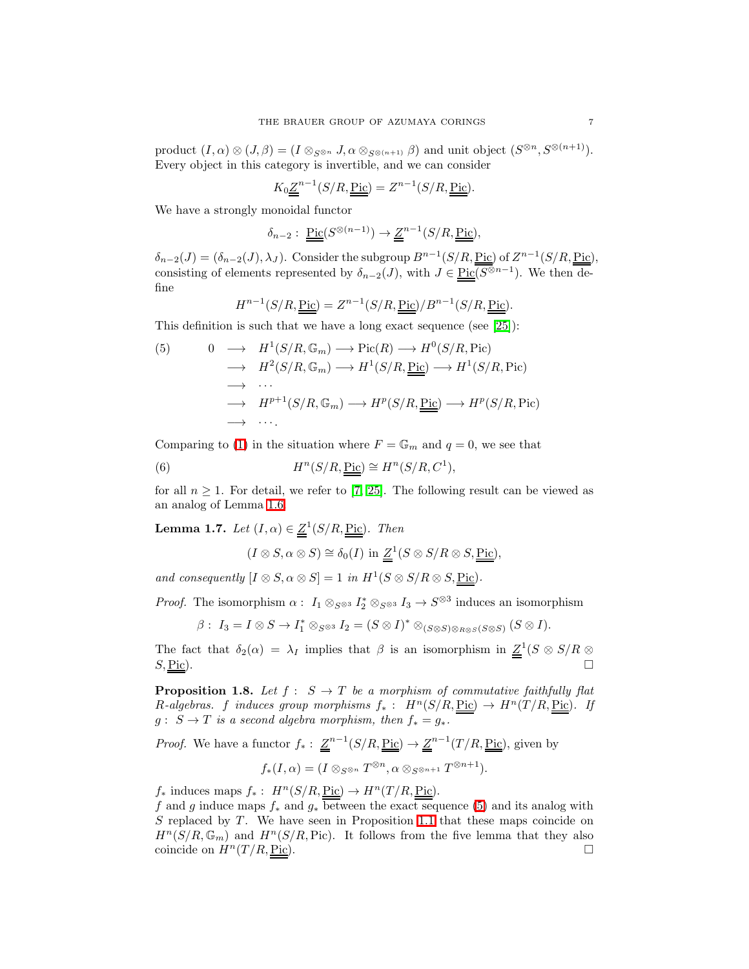product  $(I, \alpha) \otimes (J, \beta) = (I \otimes_{S^{\otimes n}} J, \alpha \otimes_{S^{\otimes (n+1)}} \beta)$  and unit object  $(S^{\otimes n}, S^{\otimes (n+1)})$ . Every object in this category is invertible, and we can consider

$$
K_0 \underline{\underline{Z}}^{n-1}(S/R, \underline{\underline{\mathrm{Pic}}}) = Z^{n-1}(S/R, \underline{\underline{\mathrm{Pic}}}).
$$

We have a strongly monoidal functor

$$
\delta_{n-2}: \underline{\underline{\mathrm{Pic}}}(S^{\otimes (n-1)}) \to \underline{\underline{Z}}^{n-1}(S/R, \underline{\underline{\mathrm{Pic}}}),
$$

 $\delta_{n-2}(J) = (\delta_{n-2}(J), \lambda_J)$ . Consider the subgroup  $B^{n-1}(S/R, \underline{\text{Pic}})$  of  $Z^{n-1}(S/R, \underline{\text{Pic}})$ , consisting of elements represented by  $\delta_{n-2}(J)$ , with  $J \in \text{Pic}(\overline{S^{\otimes n-1}})$ . We then define

$$
H^{n-1}(S/R, \underline{\underline{\mathrm{Pic}}}) = Z^{n-1}(S/R, \underline{\underline{\mathrm{Pic}}})/B^{n-1}(S/R, \underline{\underline{\mathrm{Pic}}}).
$$

This definition is such that we have a long exact sequence (see [\[25\]](#page-25-5)):

<span id="page-6-0"></span>(5) 
$$
0 \longrightarrow H^1(S/R, \mathbb{G}_m) \longrightarrow Pic(R) \longrightarrow H^0(S/R, Pic)
$$

$$
\longrightarrow H^2(S/R, \mathbb{G}_m) \longrightarrow H^1(S/R, \underline{Pic}) \longrightarrow H^1(S/R, Pic)
$$

$$
\longrightarrow \cdots
$$

$$
\longrightarrow H^{p+1}(S/R, \mathbb{G}_m) \longrightarrow H^p(S/R, \underline{Pic}) \longrightarrow H^p(S/R, Pic)
$$

$$
\longrightarrow \cdots.
$$

Comparing to [\(1\)](#page-4-0) in the situation where  $F = \mathbb{G}_m$  and  $q = 0$ , we see that

(6)  $H^n(S/R, \underline{\text{Pic}}) \cong H^n(S/R, C^1),$ 

<span id="page-6-3"></span>for all  $n \geq 1$ . For detail, we refer to [\[7,](#page-24-5) [25\]](#page-25-5). The following result can be viewed as an analog of Lemma [1.6.](#page-3-0)

**Lemma 1.7.** Let  $(I, \alpha) \in \underline{Z}^1(S/R, \underline{Pic})$ . Then

<span id="page-6-2"></span>
$$
(I \otimes S, \alpha \otimes S) \cong \delta_0(I) \text{ in } \underline{\underline{Z}}^1(S \otimes S/R \otimes S, \underline{\underline{\mathrm{Pic}}}),
$$

and consequently  $[I \otimes S, \alpha \otimes S] = 1$  in  $H^1(S \otimes S/R \otimes S, \underline{\text{Pic}})$ .

*Proof.* The isomorphism  $\alpha: I_1 \otimes_{S^{\otimes 3}} I_2^* \otimes_{S^{\otimes 3}} I_3 \to S^{\otimes 3}$  induces an isomorphism

 $\beta: I_3 = I \otimes S \to I_1^* \otimes_{S^{\otimes 3}} I_2 = (S \otimes I)^* \otimes_{(S \otimes S) \otimes_{R \otimes S} (S \otimes S)} (S \otimes I).$ 

The fact that  $\delta_2(\alpha) = \lambda_I$  implies that  $\beta$  is an isomorphism in  $\underline{Z}^1(S \otimes S/R \otimes S)$  $S, \underline{\text{Pic}}$ ).

<span id="page-6-1"></span>**Proposition 1.8.** Let  $f : S \to T$  be a morphism of commutative faithfully flat R-algebras. f induces group morphisms  $f_*$ :  $H^n(S/R, \underline{Pic}) \to H^n(T/R, \underline{Pic})$ . If  $g: S \to T$  is a second algebra morphism, then  $f_* = g_*$ .

*Proof.* We have a functor  $f_*: \underline{Z}^{n-1}(S/R, \underline{Pic}) \to \underline{Z}^{n-1}(T/R, \underline{Pic})$ , given by  $f_*(I, \alpha) = (I \otimes_{S^{\otimes n}} T^{\otimes n}, \alpha \otimes_{S^{\otimes n+1}} T^{\otimes n+1}).$ 

 $f_*$  induces maps  $f_*$ :  $H^n(S/R, \underline{\text{Pic}}) \to H^n(T/R, \underline{\text{Pic}})$ .

f and g induce maps  $f_*$  and  $g_*$  between the exact sequence [\(5\)](#page-6-0) and its analog with  $S$  replaced by  $T$ . We have seen in Proposition [1.1](#page-2-0) that these maps coincide on  $H^{n}(S/R, \mathbb{G}_{m})$  and  $H^{n}(S/R, Pic)$ . It follows from the five lemma that they also coincide on  $H^n(T/R, \underline{\text{Pic}})$ .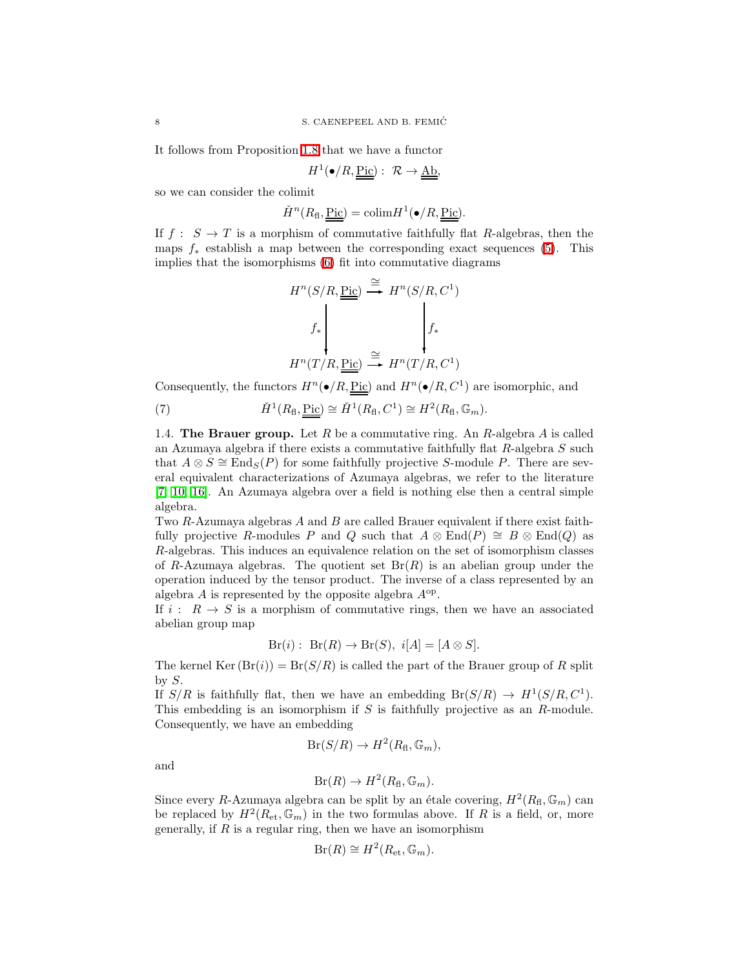It follows from Proposition [1.8](#page-6-1) that we have a functor

$$
H^1(\bullet/R, \underline{\underline{\mathrm{Pic}}}) : \mathcal{R} \to \underline{\underline{\mathrm{Ab}}},
$$

so we can consider the colimit

$$
\check{H}^n(R_{\text{fl}}, \underline{\text{Pic}}) = \text{colim} H^1(\bullet/R, \underline{\text{Pic}}).
$$

If  $f : S \to T$  is a morphism of commutative faithfully flat R-algebras, then the maps  $f_*$  establish a map between the corresponding exact sequences [\(5\)](#page-6-0). This implies that the isomorphisms [\(6\)](#page-6-2) fit into commutative diagrams

$$
H^{n}(S/R, \underline{\underline{\mathrm{Pic}}}) \stackrel{\cong}{\longrightarrow} H^{n}(S/R, C^{1})
$$
\n
$$
f_{*} \downarrow f_{*}
$$
\n
$$
H^{n}(T/R, \underline{\mathrm{Pic}}) \stackrel{\cong}{\longrightarrow} H^{n}(T/R, C^{1})
$$

Consequently, the functors  $H^n(\bullet/R, \underline{\text{Pic}})$  and  $H^n(\bullet/R, C^1)$  are isomorphic, and

(7) 
$$
\check{H}^1(R_{\mathrm{fl}}, \underline{\underline{\mathrm{Pic}}}) \cong \check{H}^1(R_{\mathrm{fl}}, C^1) \cong H^2(R_{\mathrm{fl}}, \mathbb{G}_m).
$$

1.4. The Brauer group. Let R be a commutative ring. An R-algebra  $A$  is called an Azumaya algebra if there exists a commutative faithfully flat R-algebra S such that  $A \otimes S \cong \text{End}_{S}(P)$  for some faithfully projective S-module P. There are several equivalent characterizations of Azumaya algebras, we refer to the literature [\[7,](#page-24-5) [10,](#page-25-9) [16\]](#page-25-7). An Azumaya algebra over a field is nothing else then a central simple algebra.

Two R-Azumaya algebras A and B are called Brauer equivalent if there exist faithfully projective R-modules P and Q such that  $A \otimes \text{End}(P) \cong B \otimes \text{End}(Q)$  as R-algebras. This induces an equivalence relation on the set of isomorphism classes of R-Azumaya algebras. The quotient set  $Br(R)$  is an abelian group under the operation induced by the tensor product. The inverse of a class represented by an algebra  $A$  is represented by the opposite algebra  $A^{op}$ .

If  $i : R \to S$  is a morphism of commutative rings, then we have an associated abelian group map

$$
Br(i): Br(R) \to Br(S), i[A] = [A \otimes S].
$$

The kernel Ker  $(Br(i)) = Br(S/R)$  is called the part of the Brauer group of R split by  $S$ .

If  $S/R$  is faithfully flat, then we have an embedding  $Br(S/R) \rightarrow H^1(S/R, C^1)$ . This embedding is an isomorphism if  $S$  is faithfully projective as an  $R$ -module. Consequently, we have an embedding

$$
Br(S/R) \to H^2(R_{\text{fl}}, \mathbb{G}_m),
$$

and

$$
Br(R) \to H^2(R_{\text{fl}}, \mathbb{G}_m).
$$

Since every R-Azumaya algebra can be split by an étale covering,  $H^2(R_\text{fl}, \mathbb{G}_m)$  can be replaced by  $H^2(R_{\text{et}}, \mathbb{G}_m)$  in the two formulas above. If R is a field, or, more generally, if  $R$  is a regular ring, then we have an isomorphism

$$
Br(R) \cong H^2(R_{\text{et}}, \mathbb{G}_m).
$$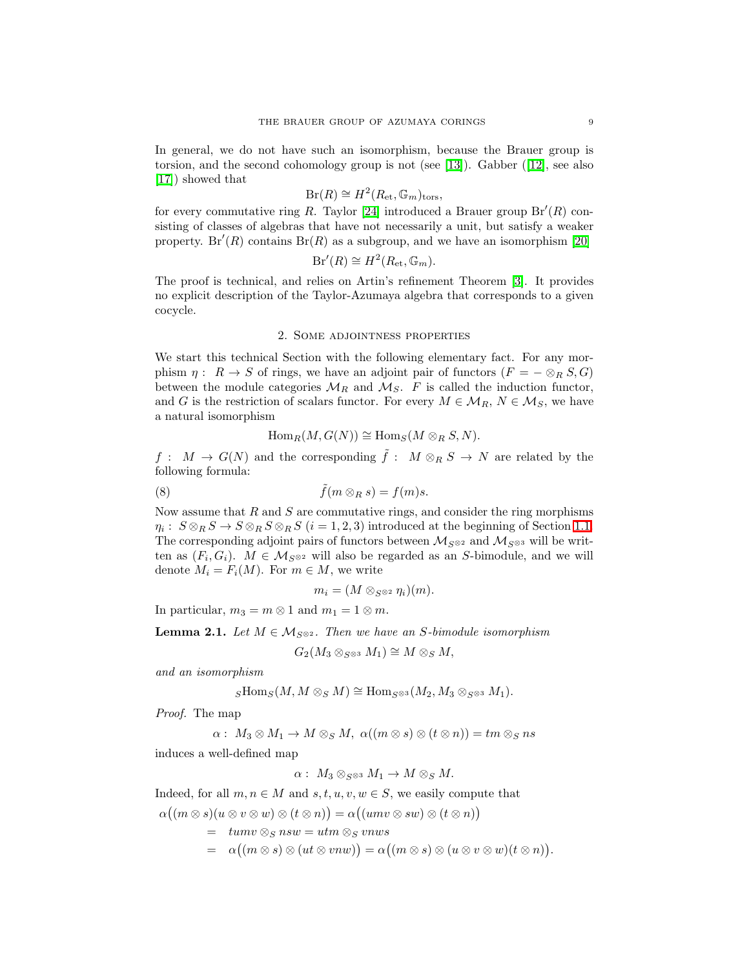In general, we do not have such an isomorphism, because the Brauer group is torsion, and the second cohomology group is not (see [\[13\]](#page-25-0)). Gabber ([\[12\]](#page-25-1), see also [\[17\]](#page-25-10)) showed that

$$
Br(R) \cong H^2(R_{\rm et}, \mathbb{G}_m)_{\rm tors},
$$

for every commutative ring R. Taylor [\[24\]](#page-25-2) introduced a Brauer group  $Br'(R)$  consisting of classes of algebras that have not necessarily a unit, but satisfy a weaker property. Br'(R) contains Br(R) as a subgroup, and we have an isomorphism [\[20\]](#page-25-3)

$$
Br'(R) \cong H^2(R_{\text{et}}, \mathbb{G}_m).
$$

The proof is technical, and relies on Artin's refinement Theorem [\[3\]](#page-24-1). It provides no explicit description of the Taylor-Azumaya algebra that corresponds to a given cocycle.

### 2. Some adjointness properties

<span id="page-8-2"></span>We start this technical Section with the following elementary fact. For any morphism  $\eta: R \to S$  of rings, we have an adjoint pair of functors  $(F = -\otimes_R S, G)$ between the module categories  $\mathcal{M}_R$  and  $\mathcal{M}_S$ . F is called the induction functor, and G is the restriction of scalars functor. For every  $M \in \mathcal{M}_R$ ,  $N \in \mathcal{M}_S$ , we have a natural isomorphism

$$
\operatorname{Hom}_R(M, G(N)) \cong \operatorname{Hom}_S(M \otimes_R S, N).
$$

<span id="page-8-0"></span> $f: M \to G(N)$  and the corresponding  $\tilde{f}: M \otimes_R S \to N$  are related by the following formula:

(8) 
$$
\tilde{f}(m \otimes_R s) = f(m)s.
$$

Now assume that  $R$  and  $S$  are commutative rings, and consider the ring morphisms  $\eta_i: S \otimes_R S \to S \otimes_R S \otimes_R S$   $(i = 1, 2, 3)$  introduced at the beginning of Section [1.1.](#page-2-1) The corresponding adjoint pairs of functors between  $\mathcal{M}_{S^{\otimes 2}}$  and  $\mathcal{M}_{S^{\otimes 3}}$  will be written as  $(F_i, G_i)$ .  $M \in \mathcal{M}_{S^{\otimes 2}}$  will also be regarded as an S-bimodule, and we will denote  $M_i = F_i(M)$ . For  $m \in M$ , we write

$$
m_i=(M\otimes_{S^{\otimes 2}}\eta_i)(m).
$$

<span id="page-8-1"></span>In particular,  $m_3 = m \otimes 1$  and  $m_1 = 1 \otimes m$ .

**Lemma 2.1.** Let  $M \in \mathcal{M}_{S^{\otimes 2}}$ . Then we have an S-bimodule isomorphism

$$
G_2(M_3 \otimes_{S^{\otimes 3}} M_1) \cong M \otimes_S M,
$$

and an isomorphism

$$
{}_S\mathrm{Hom}_S(M, M \otimes_S M) \cong \mathrm{Hom}_{S^{\otimes 3}}(M_2, M_3 \otimes_{S^{\otimes 3}} M_1).
$$

Proof. The map

$$
\alpha:\ M_3\otimes M_1\rightarrow M\otimes_S M,\ \alpha((m\otimes s)\otimes (t\otimes n))=tm\otimes_S ns
$$

induces a well-defined map

$$
\alpha: M_3 \otimes_{S^{\otimes 3}} M_1 \to M \otimes_S M.
$$

Indeed, for all  $m, n \in M$  and  $s, t, u, v, w \in S$ , we easily compute that

 $\alpha((m \otimes s)(u \otimes v \otimes w) \otimes (t \otimes n)) = \alpha((umv \otimes sw) \otimes (t \otimes n))$ 

 $=$   $tumv \otimes_S nsw = utm \otimes_S vnws$  $= \alpha((m \otimes s) \otimes (ut \otimes vnw)) = \alpha((m \otimes s) \otimes (u \otimes v \otimes w)(t \otimes n)).$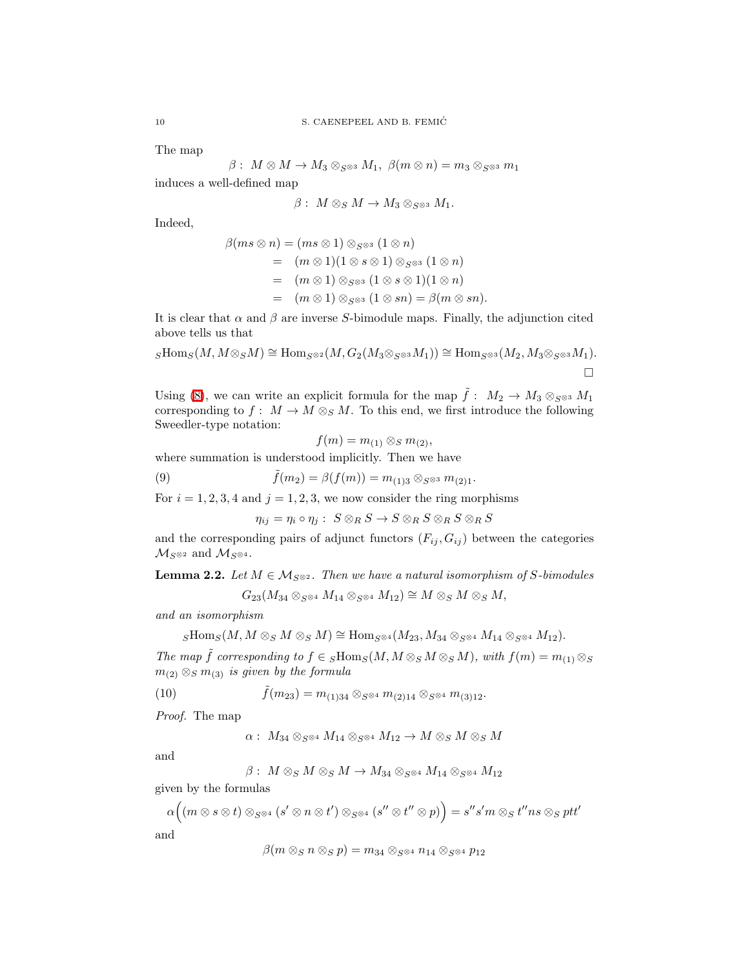The map

$$
\beta:\ M\otimes M\rightarrow M_3\otimes_{S^{\otimes 3}} M_1,\ \beta(m\otimes n)=m_3\otimes_{S^{\otimes 3}} m_1
$$

induces a well-defined map

$$
\beta:\ M\otimes_S M\to M_3\otimes_{S^{\otimes 3}} M_1.
$$

Indeed,

$$
\beta(ms \otimes n) = (ms \otimes 1) \otimes_{S^{\otimes 3}} (1 \otimes n)
$$
  
=  $(m \otimes 1)(1 \otimes s \otimes 1) \otimes_{S^{\otimes 3}} (1 \otimes n)$   
=  $(m \otimes 1) \otimes_{S^{\otimes 3}} (1 \otimes s \otimes 1)(1 \otimes n)$   
=  $(m \otimes 1) \otimes_{S^{\otimes 3}} (1 \otimes sn) = \beta(m \otimes sn).$ 

It is clear that  $\alpha$  and  $\beta$  are inverse S-bimodule maps. Finally, the adjunction cited above tells us that

$$
{}_S\mathrm{Hom} _S (M, M \otimes _S M) \cong \mathrm{Hom} _{S^{\otimes 2}}(M, G_2 (M_3 \otimes _{S^{\otimes 3}} M_1)) \cong \mathrm{Hom} _{S^{\otimes 3}}(M_2, M_3 \otimes _{S^{\otimes 3}} M_1).
$$

Using [\(8\)](#page-8-0), we can write an explicit formula for the map  $\tilde{f}: M_2 \to M_3 \otimes_{S^{*}} M_1$ corresponding to  $f: M \to M \otimes_S M$ . To this end, we first introduce the following Sweedler-type notation:

$$
f(m) = m_{(1)} \otimes_S m_{(2)},
$$

where summation is understood implicitly. Then we have

(9) 
$$
\tilde{f}(m_2) = \beta(f(m)) = m_{(1)3} \otimes_{S^{\otimes 3}} m_{(2)1}.
$$

For  $i = 1, 2, 3, 4$  and  $j = 1, 2, 3$ , we now consider the ring morphisms

 $\eta_{ij} = \eta_i \circ \eta_j : S \otimes_R S \to S \otimes_R S \otimes_R S \otimes_R S$ 

<span id="page-9-1"></span>and the corresponding pairs of adjunct functors  $(F_{ij}, G_{ij})$  between the categories  $\mathcal{M}_{S^{\otimes 2}}$  and  $\mathcal{M}_{S^{\otimes 4}}$ .

**Lemma 2.2.** Let  $M \in \mathcal{M}_{S^{\otimes 2}}$ . Then we have a natural isomorphism of S-bimodules

<span id="page-9-0"></span>
$$
G_{23}(M_{34} \otimes_{S^{\otimes 4}} M_{14} \otimes_{S^{\otimes 4}} M_{12}) \cong M \otimes_S M \otimes_S M,
$$

and an isomorphism

$$
{}_S\mathrm{Hom} _S (M, M \otimes _S M \otimes _S M) \cong \mathrm{Hom} _{S^{\otimes 4}}(M_{23}, M_{34} \otimes _{S^{\otimes 4}} M_{14} \otimes _{S^{\otimes 4}} M_{12}).
$$

The map  $\tilde{f}$  corresponding to  $f \in {}_S \text{Hom}_S(M, M \otimes _S M \otimes _S M)$ , with  $f(m) = m_{(1)} \otimes _S M$  $m_{(2)} \otimes_S m_{(3)}$  is given by the formula

(10) 
$$
\tilde{f}(m_{23}) = m_{(1)34} \otimes_{S^{\otimes 4}} m_{(2)14} \otimes_{S^{\otimes 4}} m_{(3)12}.
$$

Proof. The map

$$
\alpha: M_{34} \otimes_{S^{\otimes 4}} M_{14} \otimes_{S^{\otimes 4}} M_{12} \to M \otimes_{S} M \otimes_{S} M
$$

and

$$
\beta:\ M\otimes_S M\otimes_S M\rightarrow M_{34}\otimes_{S^{\otimes 4}} M_{14}\otimes_{S^{\otimes 4}} M_{12}
$$

given by the formulas

$$
\alpha((m \otimes s \otimes t) \otimes_{S^{\otimes 4}} (s' \otimes n \otimes t') \otimes_{S^{\otimes 4}} (s'' \otimes t'' \otimes p)) = s''s'm \otimes_S t''ns \otimes_S ptt'
$$
 and

 $\beta(m \otimes_S n \otimes_S p) = m_{34} \otimes_{S^{\otimes 4}} n_{14} \otimes_{S^{\otimes 4}} p_{12}$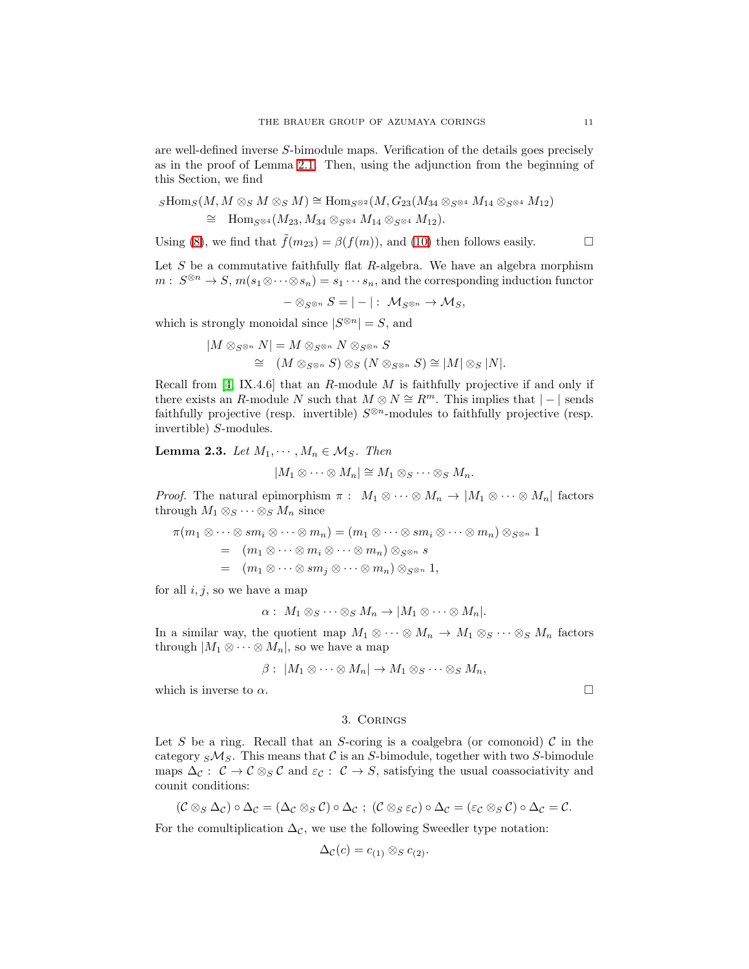are well-defined inverse S-bimodule maps. Verification of the details goes precisely as in the proof of Lemma [2.1.](#page-8-1) Then, using the adjunction from the beginning of this Section, we find

$$
\begin{aligned}\n\text{sHom}_{S}(M, M \otimes_{S} M \otimes_{S} M) &\cong \text{Hom}_{S^{\otimes 2}}(M, G_{23}(M_{34} \otimes_{S^{\otimes 4}} M_{14} \otimes_{S^{\otimes 4}} M_{12}) \\
&\cong \text{Hom}_{S^{\otimes 4}}(M_{23}, M_{34} \otimes_{S^{\otimes 4}} M_{14} \otimes_{S^{\otimes 4}} M_{12}).\n\end{aligned}
$$

Using [\(8\)](#page-8-0), we find that  $\tilde{f}(m_{23}) = \beta(f(m))$ , and [\(10\)](#page-9-0) then follows easily.

Let  $S$  be a commutative faithfully flat  $R$ -algebra. We have an algebra morphism  $m: S^{\otimes n} \to S, m(s_1 \otimes \cdots \otimes s_n) = s_1 \cdots s_n$ , and the corresponding induction functor

 $-\otimes_{S^{\otimes n}} S = |-|: \mathcal{M}_{S^{\otimes n}} \to \mathcal{M}_S,$ 

which is strongly monoidal since  $|S^{\otimes n}| = S$ , and

$$
|M \otimes_{S^{\otimes n}} N| = M \otimes_{S^{\otimes n}} N \otimes_{S^{\otimes n}} S
$$
  
\n
$$
\cong (M \otimes_{S^{\otimes n}} S) \otimes_{S} (N \otimes_{S^{\otimes n}} S) \cong |M| \otimes_{S} |N|.
$$

Recall from  $[4, IX.4.6]$  that an R-module M is faithfully projective if and only if there exists an R-module N such that  $M \otimes N \cong R^m$ . This implies that  $|-|$  sends faithfully projective (resp. invertible)  $S^{\otimes n}$ -modules to faithfully projective (resp. invertible) S-modules.

Lemma 2.3. Let  $M_1, \dots, M_n \in \mathcal{M}_S$ . Then

$$
|M_1 \otimes \cdots \otimes M_n| \cong M_1 \otimes_S \cdots \otimes_S M_n.
$$

*Proof.* The natural epimorphism  $\pi$ :  $M_1 \otimes \cdots \otimes M_n \to |M_1 \otimes \cdots \otimes M_n|$  factors through  $M_1 \otimes_S \cdots \otimes_S M_n$  since

$$
\pi(m_1 \otimes \cdots \otimes sm_i \otimes \cdots \otimes m_n) = (m_1 \otimes \cdots \otimes sm_i \otimes \cdots \otimes m_n) \otimes_{S^{\otimes n}} 1
$$
  
=  $(m_1 \otimes \cdots \otimes m_i \otimes \cdots \otimes m_n) \otimes_{S^{\otimes n}} s$   
=  $(m_1 \otimes \cdots \otimes sm_j \otimes \cdots \otimes m_n) \otimes_{S^{\otimes n}} 1$ ,

for all  $i, j$ , so we have a map

$$
\alpha: M_1 \otimes_S \cdots \otimes_S M_n \to |M_1 \otimes \cdots \otimes M_n|.
$$

In a similar way, the quotient map  $M_1 \otimes \cdots \otimes M_n \to M_1 \otimes_S \cdots \otimes_S M_n$  factors through  $|M_1 \otimes \cdots \otimes M_n|$ , so we have a map

$$
\beta:\;|M_1\otimes\cdots\otimes M_n|\to M_1\otimes_S\cdots\otimes_S M_n,
$$

which is inverse to  $\alpha$ .

### 3. Corings

Let S be a ring. Recall that an S-coring is a coalgebra (or comonoid) C in the category  $S\mathcal{M}_S$ . This means that C is an S-bimodule, together with two S-bimodule maps  $\Delta_{\mathcal{C}}: \mathcal{C} \to \mathcal{C} \otimes_S \mathcal{C}$  and  $\varepsilon_{\mathcal{C}}: \mathcal{C} \to S$ , satisfying the usual coassociativity and counit conditions:

$$
(\mathcal{C} \otimes_S \Delta_{\mathcal{C}}) \circ \Delta_{\mathcal{C}} = (\Delta_{\mathcal{C}} \otimes_S \mathcal{C}) \circ \Delta_{\mathcal{C}}; (\mathcal{C} \otimes_S \varepsilon_{\mathcal{C}}) \circ \Delta_{\mathcal{C}} = (\varepsilon_{\mathcal{C}} \otimes_S \mathcal{C}) \circ \Delta_{\mathcal{C}} = \mathcal{C}.
$$

For the comultiplication  $\Delta_{\mathcal{C}}$ , we use the following Sweedler type notation:

$$
\Delta_{\mathcal{C}}(c) = c_{(1)} \otimes_S c_{(2)}.
$$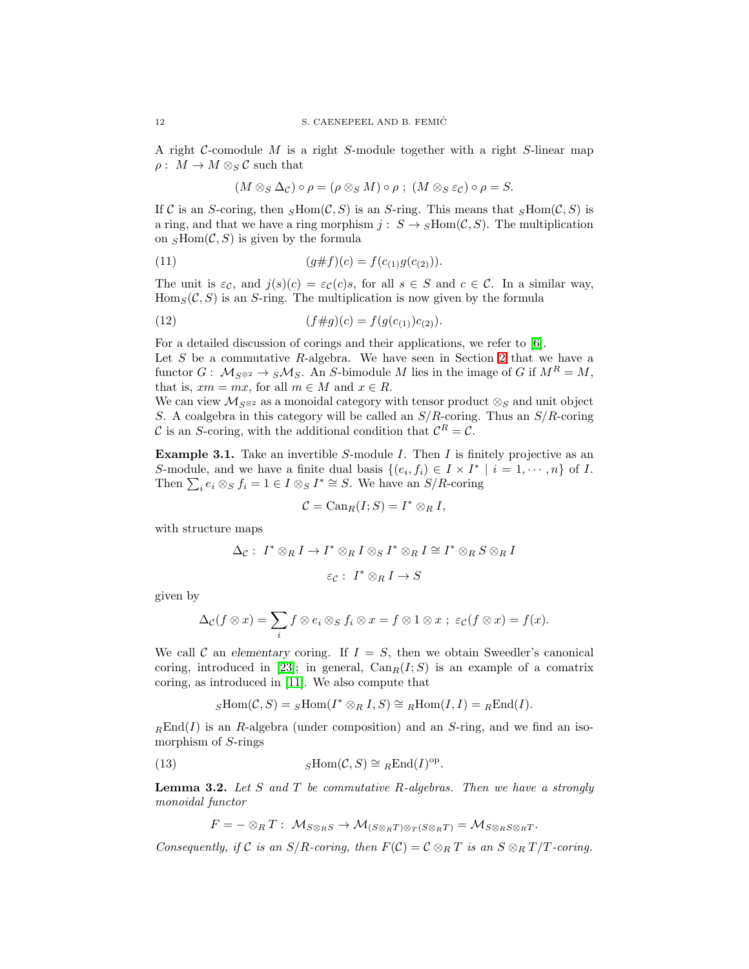A right  $C$ -comodule M is a right S-module together with a right S-linear map  $\rho: M \to M \otimes_S C$  such that

<span id="page-11-1"></span>
$$
(M \otimes_S \Delta_{\mathcal{C}}) \circ \rho = (\rho \otimes_S M) \circ \rho ; (M \otimes_S \varepsilon_{\mathcal{C}}) \circ \rho = S.
$$

If C is an S-coring, then  $sHom(\mathcal{C}, S)$  is an S-ring. This means that  $sHom(\mathcal{C}, S)$  is a ring, and that we have a ring morphism  $j: S \to s \text{Hom}(\mathcal{C}, S)$ . The multiplication on  $_S\text{Hom}(\mathcal{C}, S)$  is given by the formula

(11) 
$$
(g \# f)(c) = f(c_{(1)}g(c_{(2)})).
$$

The unit is  $\varepsilon_c$ , and  $j(s)(c) = \varepsilon_c(c)s$ , for all  $s \in S$  and  $c \in C$ . In a similar way,  $\text{Hom}_S(\mathcal{C}, S)$  is an S-ring. The multiplication is now given by the formula

(12) 
$$
(f \# g)(c) = f(g(c_{(1)})c_{(2)}).
$$

For a detailed discussion of corings and their applications, we refer to [\[6\]](#page-24-3). Let  $S$  be a commutative  $R$ -algebra. We have seen in Section [2](#page-8-2) that we have a functor  $G: \mathcal{M}_{S^{\otimes 2}} \to S\mathcal{M}_S$ . An S-bimodule M lies in the image of G if  $M^R = M$ , that is,  $xm = mx$ , for all  $m \in M$  and  $x \in R$ .

We can view  $M_{S^{\otimes 2}}$  as a monoidal category with tensor product  $\otimes_S$  and unit object S. A coalgebra in this category will be called an  $S/R$ -coring. Thus an  $S/R$ -coring C is an S-coring, with the additional condition that  $\mathcal{C}^R = \mathcal{C}$ .

**Example 3.1.** Take an invertible S-module I. Then I is finitely projective as an S-module, and we have a finite dual basis  $\{(e_i, f_i) \in I \times I^* \mid i = 1, \dots, n\}$  of I. Then  $\sum_i e_i \otimes_S f_i = 1 \in I \otimes_S I^* \cong S$ . We have an  $S/R$ -coring

$$
\mathcal{C} = \text{Can}_{R}(I;S) = I^* \otimes_{R} I,
$$

with structure maps

$$
\Delta_{\mathcal{C}}: I^* \otimes_R I \to I^* \otimes_R I \otimes_S I^* \otimes_R I \cong I^* \otimes_R S \otimes_R I
$$

$$
\varepsilon_{\mathcal{C}}: I^* \otimes_R I \to S
$$

given by

$$
\Delta_{\mathcal{C}}(f \otimes x) = \sum_{i} f \otimes e_{i} \otimes_{S} f_{i} \otimes x = f \otimes 1 \otimes x \; ; \; \varepsilon_{\mathcal{C}}(f \otimes x) = f(x).
$$

We call C an elementary coring. If  $I = S$ , then we obtain Sweedler's canonical coring, introduced in [\[23\]](#page-25-4); in general,  $\text{Can}_{R}(I; S)$  is an example of a comatrix coring, as introduced in [\[11\]](#page-25-11). We also compute that

$$
{}_{S}\text{Hom}(\mathcal{C},S) = {}_{S}\text{Hom}(I^* \otimes_R I, S) \cong {}_{R}\text{Hom}(I, I) = {}_{R}\text{End}(I).
$$

<span id="page-11-0"></span> $<sub>R</sub>End(I)$  is an R-algebra (under composition) and an S-ring, and we find an iso-</sub> morphism of S-rings

(13) 
$$
s\text{Hom}(\mathcal{C},S) \cong {}_R\text{End}(I)^{\text{op}}.
$$

**Lemma 3.2.** Let S and T be commutative R-algebras. Then we have a strongly monoidal functor

 $F = - \otimes_R T : \mathcal{M}_{S \otimes_R S} \to \mathcal{M}_{(S \otimes_R T) \otimes_T (S \otimes_R T)} = \mathcal{M}_{S \otimes_R S \otimes_R T}.$ 

Consequently, if C is an  $S/R$ -coring, then  $F(\mathcal{C}) = \mathcal{C} \otimes_R T$  is an  $S \otimes_R T/T$ -coring.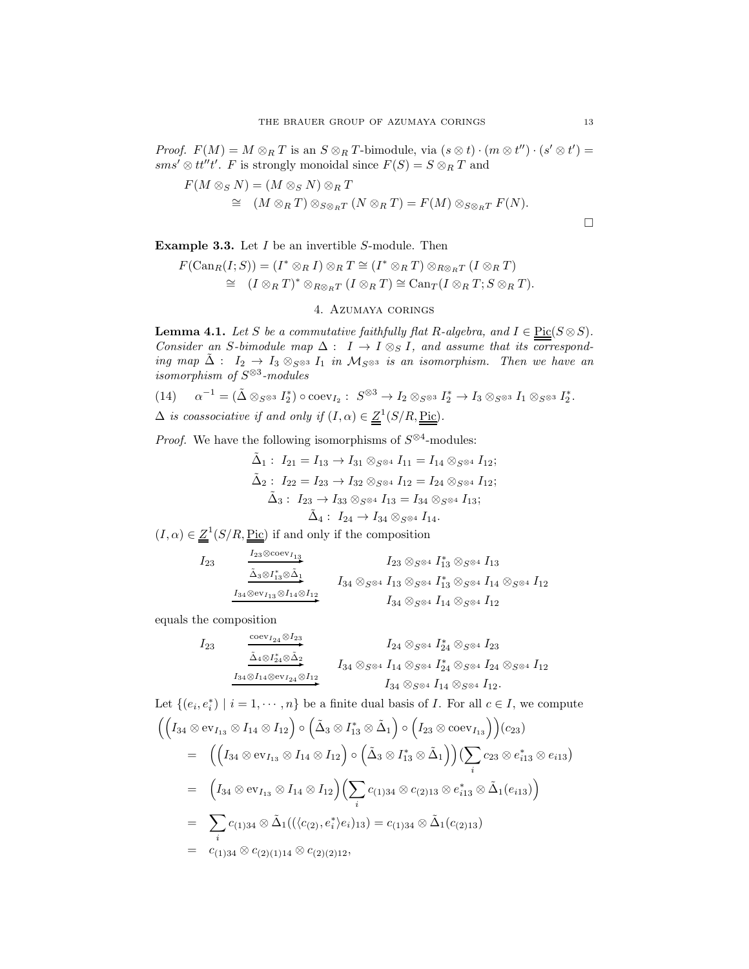*Proof.*  $F(M) = M \otimes_R T$  is an  $S \otimes_R T$ -bimodule, via  $(s \otimes t) \cdot (m \otimes t'') \cdot (s' \otimes t') =$  $sms'\otimes tt''t'.$  F is strongly monoidal since  $F(S) = S\otimes_R T$  and

$$
F(M \otimes_S N) = (M \otimes_S N) \otimes_R T
$$
  
\n
$$
\cong (M \otimes_R T) \otimes_{S \otimes_R T} (N \otimes_R T) = F(M) \otimes_{S \otimes_R T} F(N).
$$

**Example 3.3.** Let  $I$  be an invertible  $S$ -module. Then

$$
F(\mathrm{Can}_{R}(I;S)) = (I^* \otimes_{R} I) \otimes_{R} T \cong (I^* \otimes_{R} T) \otimes_{R \otimes_{R} T} (I \otimes_{R} T)
$$
  
\n
$$
\cong (I \otimes_{R} T)^* \otimes_{R \otimes_{R} T} (I \otimes_{R} T) \cong \mathrm{Can}_{T}(I \otimes_{R} T; S \otimes_{R} T).
$$

# 4. Azumaya corings

<span id="page-12-1"></span><span id="page-12-0"></span>**Lemma 4.1.** Let S be a commutative faithfully flat R-algebra, and  $I \in \text{Pic}(S \otimes S)$ . Consider an S-bimodule map  $\Delta: I \to I \otimes_S I$ , and assume that its corresponding map  $\tilde{\Delta}$  :  $I_2 \rightarrow I_3 \otimes_{S^{\otimes 3}} I_1$  in  $\mathcal{M}_{S^{\otimes 3}}$  is an isomorphism. Then we have an isomorphism of  $S^{\otimes 3}$ -modules

(14) 
$$
\alpha^{-1} = (\tilde{\Delta} \otimes_{S^{\otimes 3}} I_2^*) \circ \text{coev}_{I_2} : S^{\otimes 3} \to I_2 \otimes_{S^{\otimes 3}} I_2^* \to I_3 \otimes_{S^{\otimes 3}} I_1 \otimes_{S^{\otimes 3}} I_2^*.
$$
  

$$
\Delta \text{ is coassociative if and only if } (I, \alpha) \in \underline{Z}^1(S/R, \underline{\text{Pic}}).
$$

*Proof.* We have the following isomorphisms of  $S^{\otimes 4}$ -modules:

$$
\tilde{\Delta}_1: I_{21} = I_{13} \rightarrow I_{31} \otimes_{S^{\otimes 4}} I_{11} = I_{14} \otimes_{S^{\otimes 4}} I_{12};
$$
\n
$$
\tilde{\Delta}_2: I_{22} = I_{23} \rightarrow I_{32} \otimes_{S^{\otimes 4}} I_{12} = I_{24} \otimes_{S^{\otimes 4}} I_{12};
$$
\n
$$
\tilde{\Delta}_3: I_{23} \rightarrow I_{33} \otimes_{S^{\otimes 4}} I_{13} = I_{34} \otimes_{S^{\otimes 4}} I_{13};
$$
\n
$$
\tilde{\Delta}_4: I_{24} \rightarrow I_{34} \otimes_{S^{\otimes 4}} I_{14}.
$$

 $(I, \alpha) \in \underline{Z}^1(S/R, \underline{\text{Pic}})$  if and only if the composition

$$
I_{23} \tI_{23} \tI_{33} \otimes 1_{13}
$$
\n
$$
I_{23} \otimes 1_{13} \otimes 1_{13}
$$
\n
$$
I_{34} \otimes 1_{13}
$$
\n
$$
I_{34} \otimes 1_{14} \otimes 1_{12}
$$
\n
$$
I_{34} \otimes 1_{13}
$$
\n
$$
I_{34} \otimes 1_{13}
$$
\n
$$
I_{34} \otimes 1_{14} \otimes 1_{12}
$$
\n
$$
I_{34} \otimes 1_{14} \otimes 1_{13}
$$
\n
$$
I_{34} \otimes 1_{14} \otimes 1_{14}
$$
\n
$$
I_{34} \otimes 1_{14} \otimes 1_{14}
$$

equals the composition

$$
\begin{array}{ccccc} I_{23} & \xrightarrow{\text{coev}_{I_{24}} \otimes I_{23}} & I_{24} \otimes_{S \otimes 4} & I_{24} \otimes_{S \otimes 4} & I_{23} \\ & \xrightarrow{\tilde{\Delta}_{4} \otimes I_{24}^* \otimes \tilde{\Delta}_{2}} & I_{34} \otimes_{S \otimes 4} & I_{14} \otimes_{S \otimes 4} & I_{24} \otimes_{S \otimes 4} & I_{12} \\ & & & I_{34} \otimes_{S \otimes 4} & I_{14} \otimes_{S \otimes 4} & I_{12} . \end{array}
$$

Let  $\{(e_i, e_i^*) \mid i = 1, \dots, n\}$  be a finite dual basis of *I*. For all  $c \in I$ , we compute

$$
\begin{aligned}\n&\left(\left(I_{34}\otimes \mathrm{ev}_{I_{13}}\otimes I_{14}\otimes I_{12}\right)\circ\left(\tilde{\Delta}_{3}\otimes I_{13}^{*}\otimes\tilde{\Delta}_{1}\right)\circ\left(I_{23}\otimes \mathrm{coev}_{I_{13}}\right)\right)(c_{23}) \\
&= \left(\left(I_{34}\otimes \mathrm{ev}_{I_{13}}\otimes I_{14}\otimes I_{12}\right)\circ\left(\tilde{\Delta}_{3}\otimes I_{13}^{*}\otimes\tilde{\Delta}_{1}\right)\right)\left(\sum_{i}c_{23}\otimes e_{i13}^{*}\otimes e_{i13}\right) \\
&= \left(I_{34}\otimes \mathrm{ev}_{I_{13}}\otimes I_{14}\otimes I_{12}\right)\left(\sum_{i}c_{(1)34}\otimes c_{(2)13}\otimes e_{i13}^{*}\otimes\tilde{\Delta}_{1}(e_{i13})\right) \\
&= \sum_{i}c_{(1)34}\otimes\tilde{\Delta}_{1}((\langle c_{(2)},e_{i}^{*}\rangle e_{i})_{13}) = c_{(1)34}\otimes\tilde{\Delta}_{1}(c_{(2)13}) \\
&= c_{(1)34}\otimes c_{(2)(1)14}\otimes c_{(2)(2)12},\n\end{aligned}
$$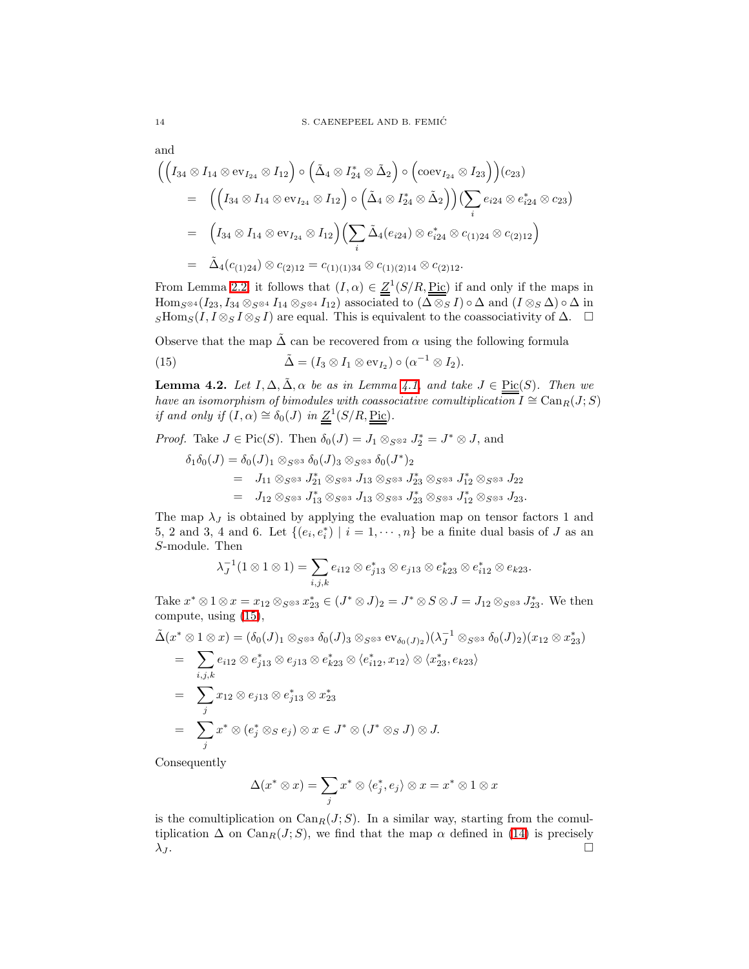and  
\n
$$
\left( \left( I_{34} \otimes I_{14} \otimes \text{ev}_{I_{24}} \otimes I_{12} \right) \circ \left( \tilde{\Delta}_4 \otimes I_{24}^* \otimes \tilde{\Delta}_2 \right) \circ \left( \text{coev}_{I_{24}} \otimes I_{23} \right) \right) (c_{23})
$$
\n
$$
= \left( \left( I_{34} \otimes I_{14} \otimes \text{ev}_{I_{24}} \otimes I_{12} \right) \circ \left( \tilde{\Delta}_4 \otimes I_{24}^* \otimes \tilde{\Delta}_2 \right) \right) \left( \sum_i e_{i24} \otimes e_{i24}^* \otimes c_{23} \right)
$$
\n
$$
= \left( I_{34} \otimes I_{14} \otimes \text{ev}_{I_{24}} \otimes I_{12} \right) \left( \sum_i \tilde{\Delta}_4 (e_{i24}) \otimes e_{i24}^* \otimes c_{(1)24} \otimes c_{(2)12} \right)
$$
\n
$$
= \tilde{\Delta}_4 (c_{(1)24}) \otimes c_{(2)12} = c_{(1)(1)34} \otimes c_{(1)(2)14} \otimes c_{(2)12}.
$$

From Lemma [2.2,](#page-9-1) it follows that  $(I, \alpha) \in \underline{Z}^1(S/R, \underline{\text{Pic}})$  if and only if the maps in  $\text{Hom}_{S^{\otimes 4}}(I_{23}, I_{34} \otimes_{S^{\otimes 4}} I_{14} \otimes_{S^{\otimes 4}} I_{12})$  associated to  $(\Delta \otimes_S I) \circ \Delta$  and  $(I \otimes_S \Delta) \circ \Delta$  in  $S\text{Hom}_S(I, I \otimes_S I \otimes_S I)$  are equal. This is equivalent to the coassociativity of  $\Delta$ .  $\square$ 

Observe that the map  $\tilde{\Delta}$  can be recovered from  $\alpha$  using the following formula

<span id="page-13-1"></span>(15) 
$$
\tilde{\Delta} = (I_3 \otimes I_1 \otimes \text{ev}_{I_2}) \circ (\alpha^{-1} \otimes I_2).
$$

**Lemma 4.2.** Let  $I, \Delta, \tilde{\Delta}$ ,  $\alpha$  be as in Lemma [4.1,](#page-12-0) and take  $J \in \text{Pic}(S)$ . Then we have an isomorphism of bimodules with coassociative comultiplication  $I \cong \text{Can}_{R}(J; S)$ if and only if  $(I, \alpha) \cong \delta_0(J)$  in  $\underline{Z}^1(S/R, \underline{Pic}).$ 

*Proof.* Take  $J \in Pic(S)$ . Then  $\delta_0(J) = J_1 \otimes_{S^{\otimes 2}} J_2^* = J^* \otimes J$ , and

<span id="page-13-0"></span>
$$
\delta_1 \delta_0(J) = \delta_0(J)_1 \otimes_{S^{\otimes 3}} \delta_0(J)_3 \otimes_{S^{\otimes 3}} \delta_0(J^*)_2
$$
  
=  $J_{11} \otimes_{S^{\otimes 3}} J_{21}^* \otimes_{S^{\otimes 3}} J_{13} \otimes_{S^{\otimes 3}} J_{23}^* \otimes_{S^{\otimes 3}} J_{12}^* \otimes_{S^{\otimes 3}} J_{22}$   
=  $J_{12} \otimes_{S^{\otimes 3}} J_{13}^* \otimes_{S^{\otimes 3}} J_{13} \otimes_{S^{\otimes 3}} J_{23}^* \otimes_{S^{\otimes 3}} J_{12}^* \otimes_{S^{\otimes 3}} J_{23}.$ 

The map  $\lambda_J$  is obtained by applying the evaluation map on tensor factors 1 and 5, 2 and 3, 4 and 6. Let  $\{(e_i, e_i^*) | i = 1, \dots, n\}$  be a finite dual basis of J as an S-module. Then

$$
\lambda_J^{-1}(1 \otimes 1 \otimes 1) = \sum_{i,j,k} e_{i12} \otimes e_{j13}^* \otimes e_{j13} \otimes e_{k23}^* \otimes e_{i12}^* \otimes e_{k23}.
$$

Take  $x^* \otimes 1 \otimes x = x_{12} \otimes_{S^{\otimes 3}} x_{23}^* \in (J^* \otimes J)_2 = J^* \otimes S \otimes J = J_{12} \otimes_{S^{\otimes 3}} J_{23}^*$ . We then compute, using [\(15\)](#page-13-0),

$$
\tilde{\Delta}(x^* \otimes 1 \otimes x) = (\delta_0(J)_1 \otimes_{S^{\otimes 3}} \delta_0(J)_3 \otimes_{S^{\otimes 3}} \text{ev}_{\delta_0(J)_2})(\lambda_J^{-1} \otimes_{S^{\otimes 3}} \delta_0(J)_2)(x_{12} \otimes x_{23}^*)
$$
\n
$$
= \sum_{i,j,k} e_{i12} \otimes e_{j13}^* \otimes e_{j13} \otimes e_{k23}^* \otimes \langle e_{i12}^*, x_{12} \rangle \otimes \langle x_{23}^*, e_{k23} \rangle
$$
\n
$$
= \sum_j x_{12} \otimes e_{j13} \otimes e_{j13}^* \otimes x_{23}^*
$$
\n
$$
= \sum_j x^* \otimes (e_j^* \otimes_S e_j) \otimes x \in J^* \otimes (J^* \otimes_S J) \otimes J.
$$

Consequently

$$
\Delta(x^* \otimes x) = \sum_j x^* \otimes \langle e_j^*, e_j \rangle \otimes x = x^* \otimes 1 \otimes x
$$

<span id="page-13-2"></span>is the comultiplication on  $\text{Can}_{R}(J; S)$ . In a similar way, starting from the comultiplication  $\Delta$  on  $\text{Can}_{R}(J; S)$ , we find that the map  $\alpha$  defined in [\(14\)](#page-12-1) is precisely  $\lambda_{I}$ .  $\lambda_J$ .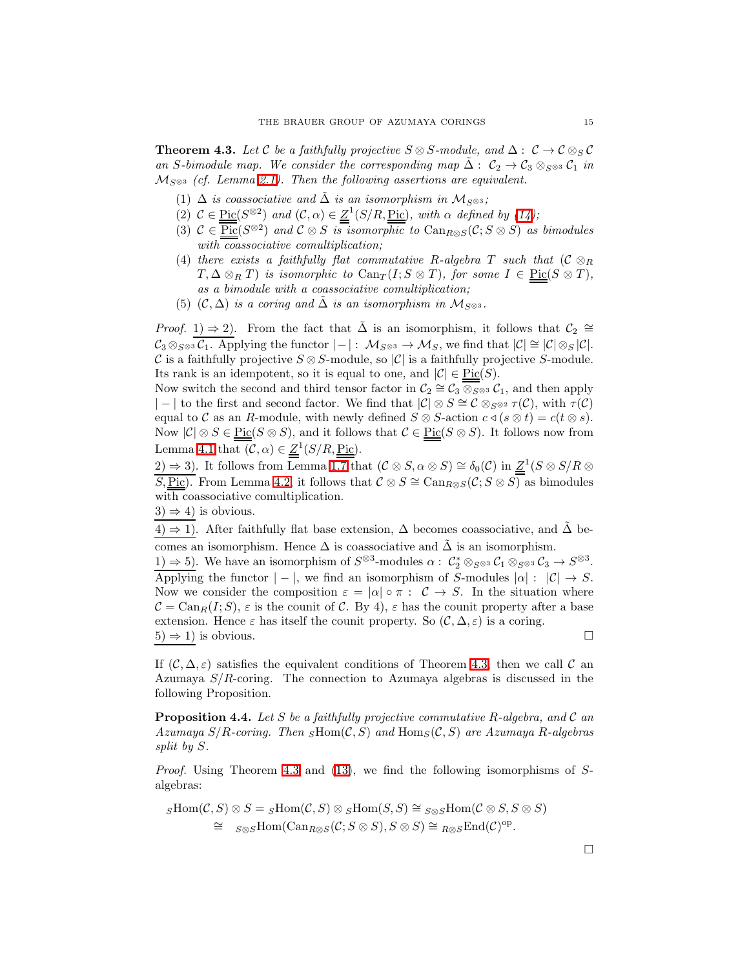**Theorem 4.3.** Let C be a faithfully projective  $S \otimes S$ -module, and  $\Delta: C \to C \otimes_S C$ an S-bimodule map. We consider the corresponding map  $\Delta: C_2 \to C_3 \otimes_{S^{\otimes 3}} C_1$  in  $M_{S^{\otimes 3}}$  (cf. Lemma [2.1\)](#page-8-1). Then the following assertions are equivalent.

- (1)  $\Delta$  is coassociative and  $\Delta$  is an isomorphism in  $\mathcal{M}_{S^{\otimes 3}}$ ;
- (2)  $C \in \underline{\text{Pic}}(S^{\otimes 2})$  and  $(C, \alpha) \in \underline{Z}^1(S/R, \underline{\text{Pic}})$ , with  $\alpha$  defined by  $(14)$ ;
- (3)  $\mathcal{C} \in \overline{\mathrm{Pic}}(S^{\otimes 2})$  and  $\mathcal{C} \otimes S$  is isomorphic to  $\mathrm{Can}_{R \otimes S}(\mathcal{C}; S \otimes S)$  as bimodules with coassociative comultiplication;
- (4) there exists a faithfully flat commutative R-algebra T such that  $(C \otimes_R)$  $T, \Delta \otimes_R T$  is isomorphic to  $\text{Can}_{T}(I; S \otimes T)$ , for some  $I \in \text{Pic}(S \otimes T)$ , as a bimodule with a coassociative comultiplication;
- (5) (C,  $\Delta$ ) is a coring and  $\Delta$  is an isomorphism in  $\mathcal{M}_{S^{\otimes 3}}$ .

*Proof.* 1)  $\Rightarrow$  2). From the fact that  $\tilde{\Delta}$  is an isomorphism, it follows that  $\mathcal{C}_2 \cong$  $\mathcal{C}_3 \otimes_{S^{\otimes 3}} \mathcal{C}_1$ . Applying the functor  $|-|: \mathcal{M}_{S^{\otimes 3}} \to \mathcal{M}_S$ , we find that  $|\mathcal{C}| \cong |\mathcal{C}| \otimes_S |\mathcal{C}|$ . C is a faithfully projective  $S \otimes S$ -module, so  $|\mathcal{C}|$  is a faithfully projective S-module. Its rank is an idempotent, so it is equal to one, and  $|\mathcal{C}| \in Pic(S)$ .

Now switch the second and third tensor factor in  $C_2 \cong C_3 \otimes_{S^{\otimes 3}} C_1$ , and then apply | − | to the first and second factor. We find that  $|\mathcal{C}| \otimes S \cong \mathcal{C} \otimes_{S^{\otimes 2}} \tau(\mathcal{C})$ , with  $\tau(\mathcal{C})$ equal to C as an R-module, with newly defined  $S \otimes S$ -action  $c \triangleleft (s \otimes t) = c(t \otimes s)$ . Now  $|\mathcal{C}| \otimes S \in \underline{\mathrm{Pic}}(S \otimes S)$ , and it follows that  $\mathcal{C} \in \underline{\mathrm{Pic}}(S \otimes S)$ . It follows now from Lemma [4.1](#page-12-0) that  $(C, \alpha) \in \underline{Z}^1(S/R, \underline{Pic}).$ 

2) ⇒ 3). It follows from Lemma [1.7](#page-6-3) that  $(C \otimes S, \alpha \otimes S) \cong \delta_0(C)$  in  $Z^1(S \otimes S/R \otimes S)$ S, Pic). From Lemma [4.2,](#page-13-1) it follows that  $C \otimes S \cong \text{Can}_{R \otimes S}(\mathcal{C}; S \otimes S)$  as bimodules with coassociative comultiplication.

 $3) \Rightarrow 4$ ) is obvious.

4) ⇒ 1). After faithfully flat base extension,  $\Delta$  becomes coassociative, and  $\Delta$  becomes an isomorphism. Hence  $\Delta$  is coassociative and  $\tilde{\Delta}$  is an isomorphism.

1)  $\Rightarrow$  5). We have an isomorphism of  $S^{\otimes 3}$ -modules  $\alpha$ :  $\mathcal{C}_2^* \otimes_{S^{\otimes 3}} \mathcal{C}_1 \otimes_{S^{\otimes 3}} \mathcal{C}_3 \rightarrow S^{\otimes 3}$ . Applying the functor  $|-|$ , we find an isomorphism of S-modules  $|\alpha|: |\mathcal{C}| \to S$ . Now we consider the composition  $\varepsilon = |\alpha| \circ \pi : C \to S$ . In the situation where  $\mathcal{C} = \text{Can}_{R}(I; S), \varepsilon$  is the counit of C. By 4),  $\varepsilon$  has the counit property after a base extension. Hence  $\varepsilon$  has itself the counit property. So  $(C, \Delta, \varepsilon)$  is a coring.  $(5) \Rightarrow 1$ ) is obvious.

If  $(C, \Delta, \varepsilon)$  satisfies the equivalent conditions of Theorem [4.3,](#page-13-2) then we call C an Azumaya  $S/R$ -coring. The connection to Azumaya algebras is discussed in the following Proposition.

<span id="page-14-0"></span>**Proposition 4.4.** Let S be a faithfully projective commutative R-algebra, and C an Azumaya  $S/R$ -coring. Then  $_SHom(C, S)$  and  $Hom_S(C, S)$  are Azumaya R-algebras split by S.

Proof. Using Theorem [4.3](#page-13-2) and [\(13\)](#page-11-0), we find the following isomorphisms of Salgebras:

$$
s\text{Hom}(\mathcal{C},S) \otimes S = s\text{Hom}(\mathcal{C},S) \otimes s\text{Hom}(S,S) \cong s \otimes s\text{Hom}(\mathcal{C} \otimes S, S \otimes S)
$$
  
\n
$$
\cong s \otimes s\text{Hom}(\text{Can}_{R \otimes S}(\mathcal{C}; S \otimes S), S \otimes S) \cong {}_{R \otimes S}\text{End}(\mathcal{C})^{\text{op}}.
$$

 $\Box$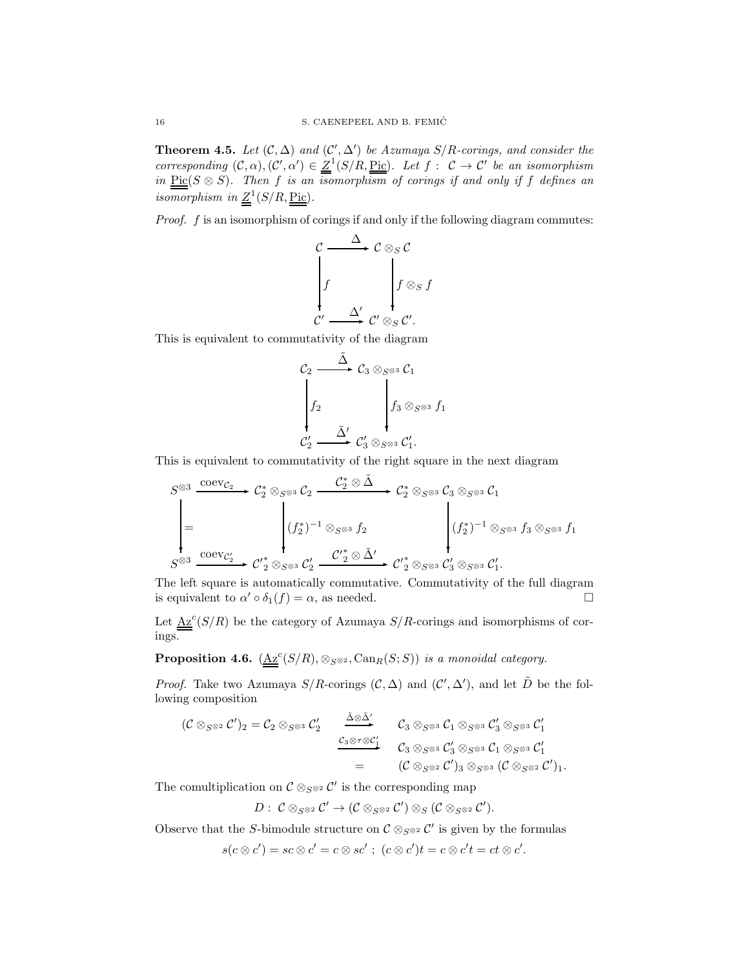**Theorem 4.5.** Let  $(C, \Delta)$  and  $(C', \Delta')$  be Azumaya  $S/R$ -corings, and consider the corresponding  $(C, \alpha), (C', \alpha') \in \underline{Z}^1(S/R, \underline{\text{Pic}})$ . Let  $f : C \to C'$  be an isomorphism in  $Pic(S \otimes S)$ . Then f is an isomorphism of corings if and only if f defines an isomorphism in  $Z^1(S/R, \underline{Pic})$ .

Proof. f is an isomorphism of corings if and only if the following diagram commutes:

$$
\begin{array}{ccc}\nC & \xrightarrow{\Delta} & C \otimes_S C \\
\downarrow f & & f \otimes_S f \\
C' & \xrightarrow{\Delta'} & C' \otimes_S C'.\n\end{array}
$$

This is equivalent to commutativity of the diagram

$$
\begin{array}{ccc}\nC_2 & \stackrel{\tilde{\Delta}}{\longrightarrow} & C_3 \otimes_{S^{\otimes 3}} C_1 \\
\downarrow f_2 & & f_3 \otimes_{S^{\otimes 3}} f_1 \\
C_2' & \stackrel{\tilde{\Delta}'}{\longrightarrow} & C_3' \otimes_{S^{\otimes 3}} C_1'.\n\end{array}
$$

This is equivalent to commutativity of the right square in the next diagram

$$
S^{\otimes 3} \xrightarrow{\text{coev}_{\mathcal{C}_2}} \mathcal{C}_2^* \otimes_{S^{\otimes 3}} \mathcal{C}_2 \xrightarrow{\mathcal{C}_2^* \otimes \tilde{\Delta}} \mathcal{C}_2^* \otimes_{S^{\otimes 3}} \mathcal{C}_3 \otimes_{S^{\otimes 3}} \mathcal{C}_1
$$
\n
$$
= \left\{ (f_2^*)^{-1} \otimes_{S^{\otimes 3}} f_2 \right\} \qquad \qquad (f_2^*)^{-1} \otimes_{S^{\otimes 3}} f_3 \otimes_{S^{\otimes 3}} f_1
$$
\n
$$
S^{\otimes 3} \xrightarrow{\text{coev}_{\mathcal{C}_2'}} \mathcal{C}_2' \otimes_{S^{\otimes 3}} \mathcal{C}_2' \xrightarrow{\mathcal{C}_2^* \otimes \tilde{\Delta}'} \mathcal{C}_2' \otimes_{S^{\otimes 3}} \mathcal{C}_3' \otimes_{S^{\otimes 3}} \mathcal{C}_1'.
$$

The left square is automatically commutative. Commutativity of the full diagram is equivalent to  $\alpha' \circ \delta_1(f) = \alpha$ , as needed.

Let  $\underline{Az}^c(S/R)$  be the category of Azumaya  $S/R$ -corings and isomorphisms of corings.

**Proposition 4.6.**  $(\underline{Az}^c(S/R), \otimes_{S^{\otimes 2}}$ ,  $Can_R(S; S))$  is a monoidal category.

*Proof.* Take two Azumaya  $S/R$ -corings  $(C, \Delta)$  and  $(C', \Delta')$ , and let  $\tilde{D}$  be the following composition

$$
(\mathcal{C} \otimes_{S^{\otimes 2}} \mathcal{C}')_2 = \mathcal{C}_2 \otimes_{S^{\otimes 3}} \mathcal{C}'_2 \xrightarrow{\tilde{\Delta} \otimes \tilde{\Delta}'} \mathcal{C}_3 \otimes_{S^{\otimes 3}} \mathcal{C}_1 \otimes_{S^{\otimes 3}} \mathcal{C}'_3 \otimes_{S^{\otimes 3}} \mathcal{C}'_1
$$
  
= 
$$
(\mathcal{C} \otimes_{S^{\otimes 2}} \mathcal{C}')_3 \otimes_{S^{\otimes 3}} (\mathcal{C} \otimes_{S^{\otimes 2}} \mathcal{C}')_1.
$$

The comultiplication on  $\mathcal{C} \otimes_{S^{\otimes 2}} \mathcal{C}'$  is the corresponding map

$$
D: \; \mathcal{C} \otimes_{S^{\otimes 2}} \mathcal{C}' \to (\mathcal{C} \otimes_{S^{\otimes 2}} \mathcal{C}') \otimes_S (\mathcal{C} \otimes_{S^{\otimes 2}} \mathcal{C}').
$$

Observe that the S-bimodule structure on  $\mathcal{C} \otimes_{S^{\otimes 2}} \mathcal{C}'$  is given by the formulas

$$
s(c\otimes c')=sc\otimes c'=c\otimes sc';\,\,(c\otimes c')t=c\otimes c't=ct\otimes c'.
$$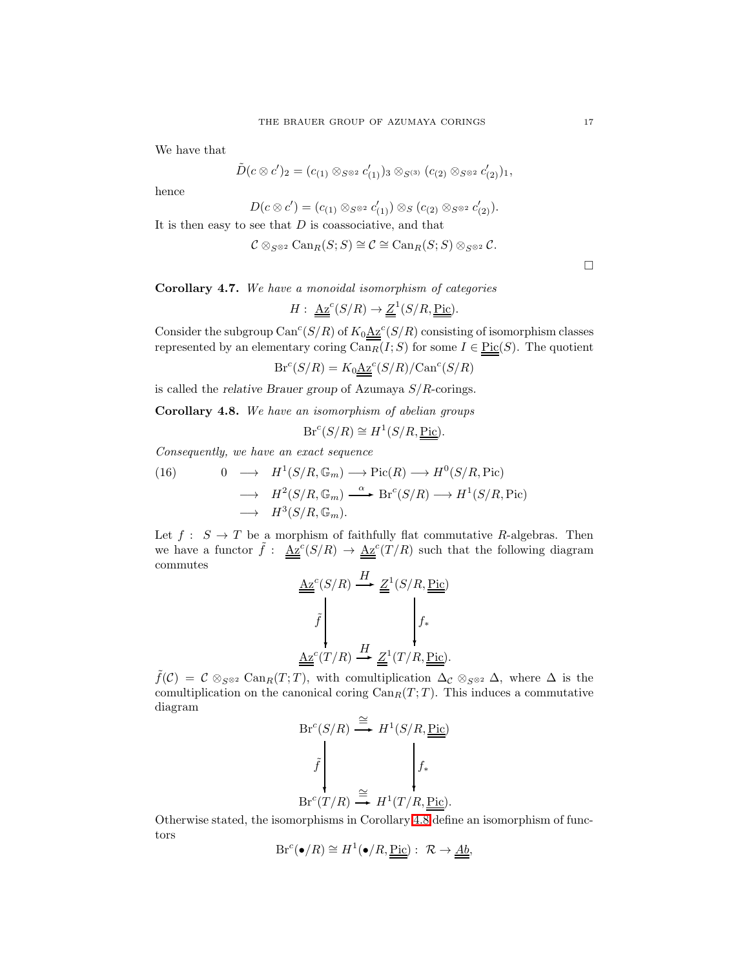We have that

$$
\tilde{D}(c\otimes c')_2=(c_{(1)}\otimes_{S^{\otimes 2}}c'_{(1)})_3\otimes_{S^{(3)}}(c_{(2)}\otimes_{S^{\otimes 2}}c'_{(2)})_1,
$$

hence

$$
D(c \otimes c') = (c_{(1)} \otimes_{S^{\otimes 2}} c'_{(1)}) \otimes_S (c_{(2)} \otimes_{S^{\otimes 2}} c'_{(2)}).
$$

It is then easy to see that  $D$  is coassociative, and that

$$
\mathcal{C} \otimes_{S^{\otimes 2}} \operatorname{Can}_R(S;S) \cong \mathcal{C} \cong \operatorname{Can}_R(S;S) \otimes_{S^{\otimes 2}} \mathcal{C}.
$$

 $\Box$ 

Corollary 4.7. We have a monoidal isomorphism of categories

$$
H: \underline{\underline{\mathbf{A}}\underline{\mathbf{z}}}^c(S/R) \to \underline{\underline{Z}}^1(S/R, \underline{\underline{\mathrm{Pic}}}).
$$

Consider the subgroup Can<sup>c</sup>(S/R) of  $K_0 \underline{Az}^c(S/R)$  consisting of isomorphism classes represented by an elementary coring  $\overline{\text{Can}_{R}(I;S)}$  for some  $I \in \underline{\text{Pic}}(S)$ . The quotient

$$
Br^{c}(S/R) = K_0 \underline{A z}^{c}(S/R)/Can^{c}(S/R)
$$

<span id="page-16-0"></span>is called the *relative Brauer group* of Azumaya  $S/R$ -corings.

Corollary 4.8. We have an isomorphism of abelian groups

$$
Br^{c}(S/R) \cong H^{1}(S/R, \underline{Pic}).
$$

Consequently, we have an exact sequence

(16) 
$$
0 \longrightarrow H^1(S/R, \mathbb{G}_m) \longrightarrow Pic(R) \longrightarrow H^0(S/R, Pic)
$$

$$
\longrightarrow H^2(S/R, \mathbb{G}_m) \stackrel{\alpha}{\longrightarrow} Br^c(S/R) \longrightarrow H^1(S/R, Pic)
$$

$$
\longrightarrow H^3(S/R, \mathbb{G}_m).
$$

Let  $f: S \to T$  be a morphism of faithfully flat commutative R-algebras. Then we have a functor  $\tilde{f}$  :  $\underline{\text{Az}}^c(S/R) \rightarrow \underline{\text{Az}}^c(T/R)$  such that the following diagram commutes

$$
\underbrace{\underline{Az}^c(S/R)}_{\tilde{f}} \xrightarrow{H} \underbrace{\underline{Z}^1(S/R, \underline{Pic})}_{\tilde{f}_*}
$$
\n
$$
\underbrace{\underline{Az}^c(T/R)}_{\tilde{f}_*} \xrightarrow{H} \underbrace{\underline{Z}^1(T/R, \underline{Pic})}_{\tilde{f}_*}.
$$

 $\tilde{f}(\mathcal{C}) = \mathcal{C} \otimes_{S^{\otimes 2}} \text{Can}_R(T;T)$ , with comultiplication  $\Delta_{\mathcal{C}} \otimes_{S^{\otimes 2}} \Delta$ , where  $\Delta$  is the comultiplication on the canonical coring  $Can_R(T; T)$ . This induces a commutative diagram

$$
\begin{array}{ccc}\n\operatorname{Br}^c(S/R) & \xrightarrow{\cong} & H^1(S/R, \underline{\underline{\mathrm{Pic}}}) \\
\downarrow f & & \downarrow f_* \\
\operatorname{Br}^c(T/R) & \xrightarrow{\cong} & H^1(T/R, \underline{\underline{\mathrm{Pic}}}).\n\end{array}
$$

Otherwise stated, the isomorphisms in Corollary [4.8](#page-16-0) define an isomorphism of functors

$$
Br^{c}(\bullet/R) \cong H^{1}(\bullet/R, \underline{\underline{Pic}}): \mathcal{R} \to \underline{\underline{Ab}},
$$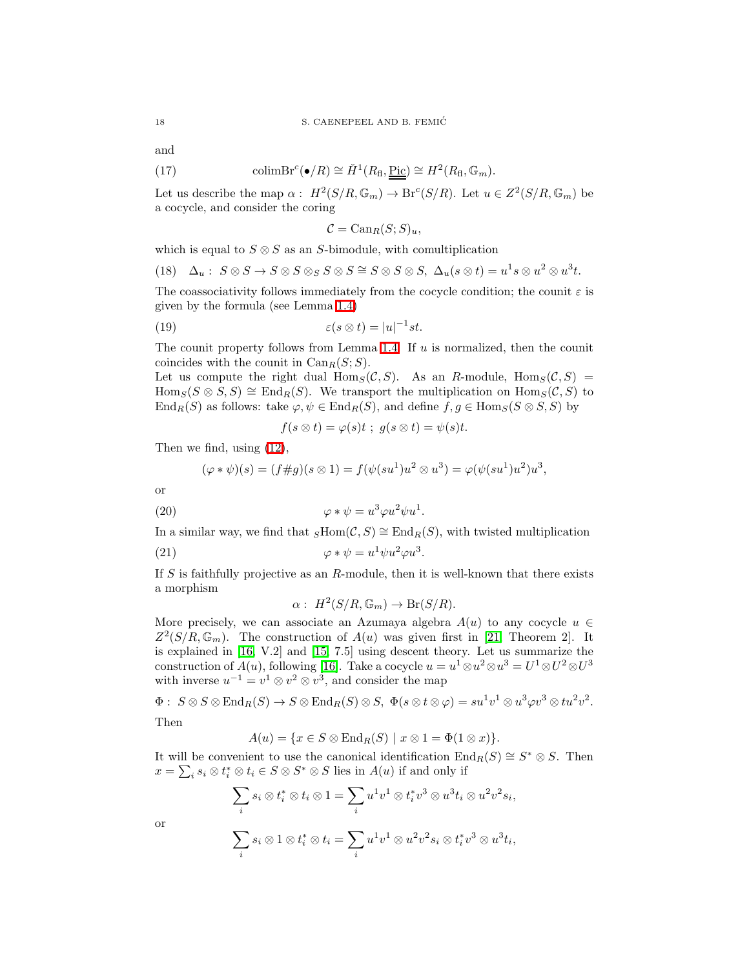<span id="page-17-3"></span>and

(17) 
$$
\text{colimBr}^c(\bullet/R) \cong \check{H}^1(R_{\text{fl}},\underline{\text{Pic}}) \cong H^2(R_{\text{fl}},\mathbb{G}_m).
$$

Let us describe the map  $\alpha: H^2(S/R, \mathbb{G}_m) \to \text{Br}^c(S/R)$ . Let  $u \in Z^2(S/R, \mathbb{G}_m)$  be a cocycle, and consider the coring

<span id="page-17-2"></span><span id="page-17-1"></span>
$$
\mathcal{C} = \text{Can}_{R}(S;S)_{u},
$$

which is equal to  $S \otimes S$  as an S-bimodule, with comultiplication

(18) 
$$
\Delta_u
$$
:  $S \otimes S \to S \otimes S \otimes_S S \otimes S \cong S \otimes S \otimes S$ ,  $\Delta_u(s \otimes t) = u^1 s \otimes u^2 \otimes u^3 t$ .

The coassociativity follows immediately from the cocycle condition; the counit  $\varepsilon$  is given by the formula (see Lemma [1.4\)](#page-3-1)

(19) 
$$
\varepsilon(s\otimes t) = |u|^{-1}st.
$$

The counit property follows from Lemma [1.4.](#page-3-1) If  $u$  is normalized, then the counit coincides with the counit in  $Can_R(S; S)$ .

Let us compute the right dual  $\text{Hom}_S(\mathcal{C}, S)$ . As an R-module,  $\text{Hom}_S(\mathcal{C}, S)$  =  $\text{Hom}_S(S \otimes S, S) \cong \text{End}_R(S)$ . We transport the multiplication on  $\text{Hom}_S(C, S)$  to  $\text{End}_R(S)$  as follows: take  $\varphi, \psi \in \text{End}_R(S)$ , and define  $f, g \in \text{Hom}_S(S \otimes S, S)$  by

$$
f(s \otimes t) = \varphi(s)t \; ; \; g(s \otimes t) = \psi(s)t.
$$

Then we find, using [\(12\)](#page-11-1),

$$
(\varphi * \psi)(s) = (f \# g)(s \otimes 1) = f(\psi(su^1)u^2 \otimes u^3) = \varphi(\psi(su^1)u^2)u^3,
$$

<span id="page-17-0"></span>or

(20) 
$$
\varphi * \psi = u^3 \varphi u^2 \psi u^1.
$$

In a similar way, we find that  $_SHom(C, S) \cong End_R(S)$ , with twisted multiplication

(21) 
$$
\varphi * \psi = u^1 \psi u^2 \varphi u^3.
$$

If  $S$  is faithfully projective as an  $R$ -module, then it is well-known that there exists a morphism

$$
\alpha: H^2(S/R, \mathbb{G}_m) \to Br(S/R).
$$

More precisely, we can associate an Azumaya algebra  $A(u)$  to any cocycle  $u \in$  $Z^2(S/R, \mathbb{G}_m)$ . The construction of  $A(u)$  was given first in [\[21,](#page-25-12) Theorem 2]. It is explained in [\[16,](#page-25-7) V.2] and [\[15,](#page-25-13) 7.5] using descent theory. Let us summarize the construction of  $A(u)$ , following [\[16\]](#page-25-7). Take a cocycle  $u = u^1 \otimes u^2 \otimes u^3 = U^1 \otimes U^2 \otimes U^3$ with inverse  $u^{-1} = v^1 \otimes v^2 \otimes v^3$ , and consider the map

$$
\Phi: \ S\otimes S\otimes \operatorname{End}_R(S)\rightarrow S\otimes \operatorname{End}_R(S)\otimes S, \ \Phi(s\otimes t\otimes \varphi)=su^1v^1\otimes u^3\varphi v^3\otimes tu^2v^2.
$$

Then

$$
A(u) = \{x \in S \otimes \operatorname{End}_R(S) \mid x \otimes 1 = \Phi(1 \otimes x)\}.
$$

It will be convenient to use the canonical identification  $\text{End}_R(S) \cong S^* \otimes S$ . Then  $x = \sum_i s_i \otimes t_i^* \otimes t_i \in S \otimes S^* \otimes S$  lies in  $A(u)$  if and only if

$$
\sum_{i} s_i \otimes t_i^* \otimes t_i \otimes 1 = \sum_{i} u^1 v^1 \otimes t_i^* v^3 \otimes u^3 t_i \otimes u^2 v^2 s_i,
$$
  

$$
\sum_{i} s_i \otimes 1 \otimes t_i^* \otimes t_i = \sum_{i} u^1 v^1 \otimes u^2 v^2 s_i \otimes t_i^* v^3 \otimes u^3 t_i,
$$

or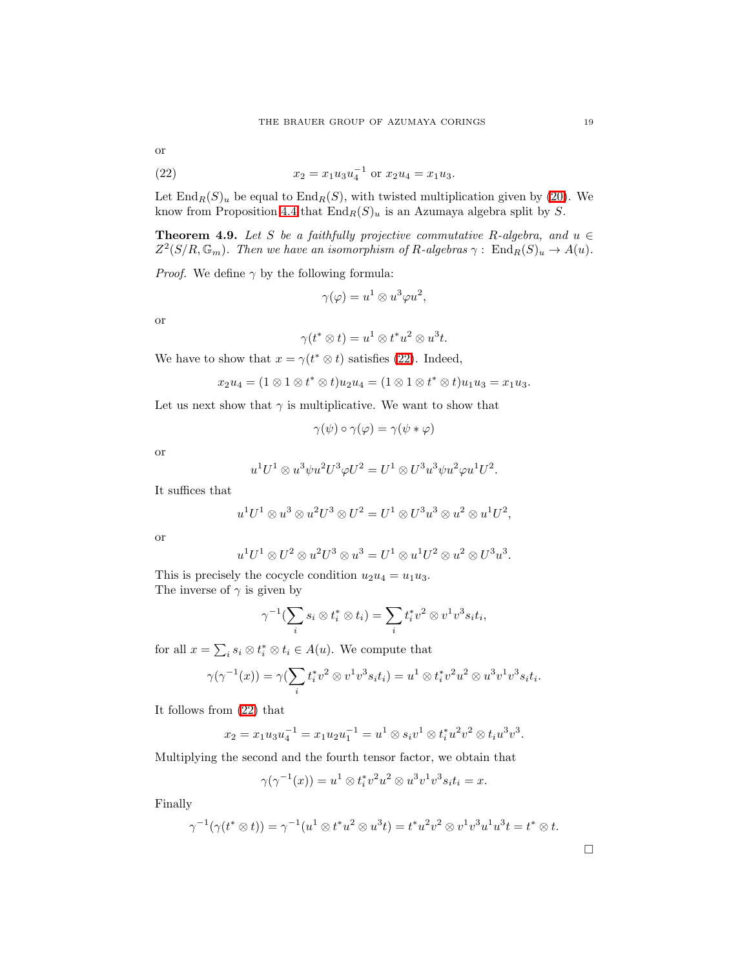<span id="page-18-0"></span>or

(22) 
$$
x_2 = x_1 u_3 u_4^{-1} \text{ or } x_2 u_4 = x_1 u_3.
$$

Let  $\text{End}_R(S)_u$  be equal to  $\text{End}_R(S)$ , with twisted multiplication given by [\(20\)](#page-17-0). We know from Proposition [4.4](#page-14-0) that  $\text{End}_R(S)_u$  is an Azumaya algebra split by S.

**Theorem 4.9.** Let S be a faithfully projective commutative R-algebra, and  $u \in$  $Z^2(S/R, \mathbb{G}_m)$ . Then we have an isomorphism of R-algebras  $\gamma: \operatorname{End}_R(S)_u \to A(u)$ .

*Proof.* We define  $\gamma$  by the following formula:

$$
\gamma(\varphi) = u^1 \otimes u^3 \varphi u^2,
$$

or

$$
\gamma(t^*\otimes t)=u^1\otimes t^*u^2\otimes u^3t.
$$

We have to show that  $x = \gamma(t^* \otimes t)$  satisfies [\(22\)](#page-18-0). Indeed,

$$
x_2u_4 = (1 \otimes 1 \otimes t^* \otimes t)u_2u_4 = (1 \otimes 1 \otimes t^* \otimes t)u_1u_3 = x_1u_3.
$$

Let us next show that  $\gamma$  is multiplicative. We want to show that

$$
\gamma(\psi)\circ\gamma(\varphi)=\gamma(\psi*\varphi)
$$

or

$$
u1U1 \otimes u3 \psi u2U3 \varphi U2 = U1 \otimes U3 u3 \psi u2 \varphi u1U2.
$$

It suffices that

$$
u1U1 \otimes u3 \otimes u2U3 \otimes U2 = U1 \otimes U3u3 \otimes u2 \otimes u1U2,
$$

or

$$
u1U1 \otimes U2 \otimes u2U3 \otimes u3 = U1 \otimes u1U2 \otimes u2 \otimes U3u3.
$$

This is precisely the cocycle condition  $u_2u_4 = u_1u_3$ . The inverse of  $\gamma$  is given by

$$
\gamma^{-1}(\sum_i s_i \otimes t_i^* \otimes t_i) = \sum_i t_i^* v^2 \otimes v^1 v^3 s_i t_i,
$$

for all  $x = \sum_i s_i \otimes t_i^* \otimes t_i \in A(u)$ . We compute that

$$
\gamma(\gamma^{-1}(x)) = \gamma(\sum_i t_i^* v^2 \otimes v^1 v^3 s_i t_i) = u^1 \otimes t_i^* v^2 u^2 \otimes u^3 v^1 v^3 s_i t_i.
$$

It follows from [\(22\)](#page-18-0) that

$$
x_2 = x_1 u_3 u_4^{-1} = x_1 u_2 u_1^{-1} = u^1 \otimes s_i v^1 \otimes t_i^* u^2 v^2 \otimes t_i u^3 v^3.
$$

Multiplying the second and the fourth tensor factor, we obtain that

$$
\gamma(\gamma^{-1}(x)) = u^1 \otimes t_i^* v^2 u^2 \otimes u^3 v^1 v^3 s_i t_i = x.
$$

Finally

$$
\gamma^{-1}(\gamma(t^* \otimes t)) = \gamma^{-1}(u^1 \otimes t^* u^2 \otimes u^3 t) = t^* u^2 v^2 \otimes v^1 v^3 u^1 u^3 t = t^* \otimes t.
$$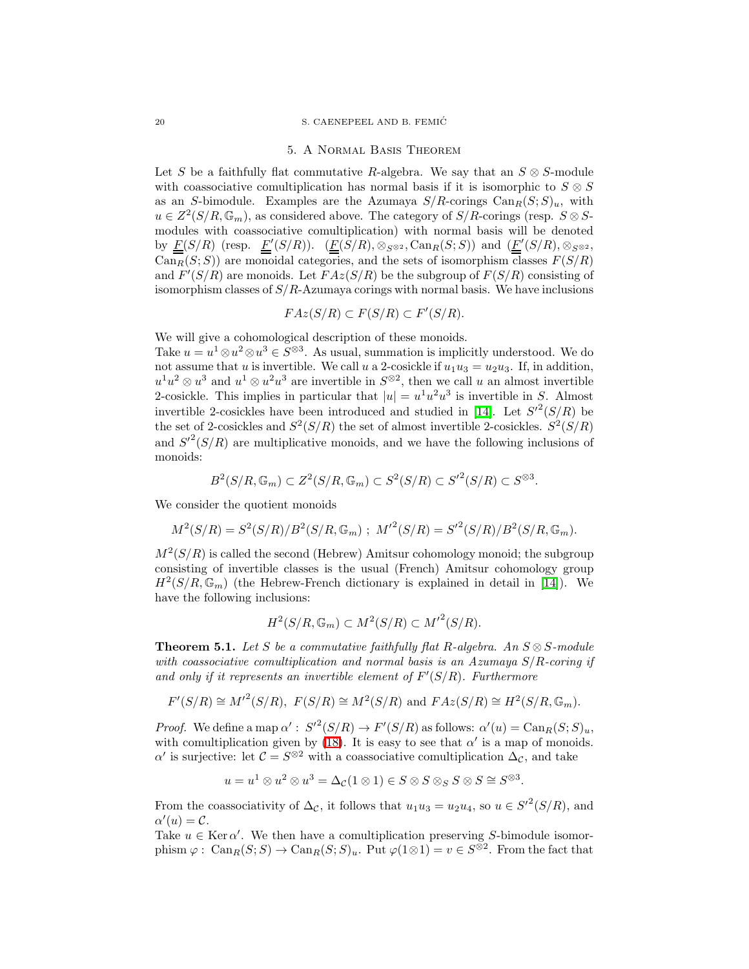#### 20 S. CAENEPEEL AND B. FEMIC´

#### 5. A Normal Basis Theorem

Let S be a faithfully flat commutative R-algebra. We say that an  $S \otimes S$ -module with coassociative comultiplication has normal basis if it is isomorphic to  $S \otimes S$ as an S-bimodule. Examples are the Azumaya  $S/R$ -corings  $\text{Can}_{R}(S; S)_{u}$ , with  $u \in Z^2(S/R, \mathbb{G}_m)$ , as considered above. The category of  $S/R$ -corings (resp.  $S \otimes S$ modules with coassociative comultiplication) with normal basis will be denoted by  $\underline{F}(S/R)$  (resp.  $\underline{F}'(S/R)$ ).  $(\underline{F}(S/R), \otimes_{S^{\otimes 2}}$ , Can<sub>R</sub> $(S; S)$ ) and  $(\underline{F}'(S/R), \otimes_{S^{\otimes 2}}$ ,  $\widehat{\text{Can}_R}(S;S)$  are monoidal categories, and the sets of isomorphism classes  $F(S/R)$ and  $F'(S/R)$  are monoids. Let  $FAz(S/R)$  be the subgroup of  $F(S/R)$  consisting of isomorphism classes of  $S/R$ -Azumaya corings with normal basis. We have inclusions

$$
FAz(S/R) \subset F(S/R) \subset F'(S/R).
$$

We will give a cohomological description of these monoids.

Take  $u = u^1 \otimes u^2 \otimes u^3 \in S^{\otimes 3}$ . As usual, summation is implicitly understood. We do not assume that u is invertible. We call u a 2-cosickle if  $u_1u_3 = u_2u_3$ . If, in addition,  $u^1u^2 \otimes u^3$  and  $u^1 \otimes u^2u^3$  are invertible in  $S^{\otimes 2}$ , then we call u an almost invertible 2-cosickle. This implies in particular that  $|u| = u^1 u^2 u^3$  is invertible in S. Almost invertible 2-cosickles have been introduced and studied in [\[14\]](#page-25-14). Let  $S^2(S/R)$  be the set of 2-cosickles and  $S^2(S/R)$  the set of almost invertible 2-cosickles.  $S^2(S/R)$ and  $S^2(S/R)$  are multiplicative monoids, and we have the following inclusions of monoids:

$$
B^2(S/R, \mathbb{G}_m) \subset Z^2(S/R, \mathbb{G}_m) \subset S^2(S/R) \subset {S'}^2(S/R) \subset S^{\otimes 3}.
$$

We consider the quotient monoids

$$
M^{2}(S/R) = S^{2}(S/R)/B^{2}(S/R, \mathbb{G}_{m}) ; M'^{2}(S/R) = S'^{2}(S/R)/B^{2}(S/R, \mathbb{G}_{m}).
$$

 $M^2(S/R)$  is called the second (Hebrew) Amitsur cohomology monoid; the subgroup consisting of invertible classes is the usual (French) Amitsur cohomology group  $H^2(S/R, \mathbb{G}_m)$  (the Hebrew-French dictionary is explained in detail in [\[14\]](#page-25-14)). We have the following inclusions:

$$
H^2(S/R, \mathbb{G}_m) \subset M^2(S/R) \subset {M'}^2(S/R).
$$

**Theorem 5.1.** Let S be a commutative faithfully flat R-algebra. An  $S \otimes S$ -module with coassociative comultiplication and normal basis is an Azumaya  $S/R$ -coring if and only if it represents an invertible element of  $F'(S/R)$ . Furthermore

$$
F'(S/R) \cong M'^2(S/R)
$$
,  $F(S/R) \cong M^2(S/R)$  and  $FAz(S/R) \cong H^2(S/R, \mathbb{G}_m)$ .

*Proof.* We define a map  $\alpha' : S'^2(S/R) \to F'(S/R)$  as follows:  $\alpha'(u) = \text{Can}_R(S;S)_u$ , with comultiplication given by [\(18\)](#page-17-1). It is easy to see that  $\alpha'$  is a map of monoids. α' is surjective: let  $C = S^{\otimes 2}$  with a coassociative comultiplication  $\Delta_{\mathcal{C}}$ , and take

$$
u = u1 \otimes u2 \otimes u3 = \Delta_{\mathcal{C}}(1 \otimes 1) \in S \otimes S \otimes S \otimes S \cong S^{\otimes 3}.
$$

From the coassociativity of  $\Delta_{\mathcal{C}}$ , it follows that  $u_1u_3 = u_2u_4$ , so  $u \in S'^2(S/R)$ , and  $\alpha'(u) = \mathcal{C}.$ 

Take  $u \in \text{Ker }\alpha'$ . We then have a comultiplication preserving S-bimodule isomorphism  $\varphi$ : Can<sub>R</sub> $(S;S) \to \text{Can}_{R}(S;S)_{u}$ . Put  $\varphi(1 \otimes 1) = v \in S^{\otimes 2}$ . From the fact that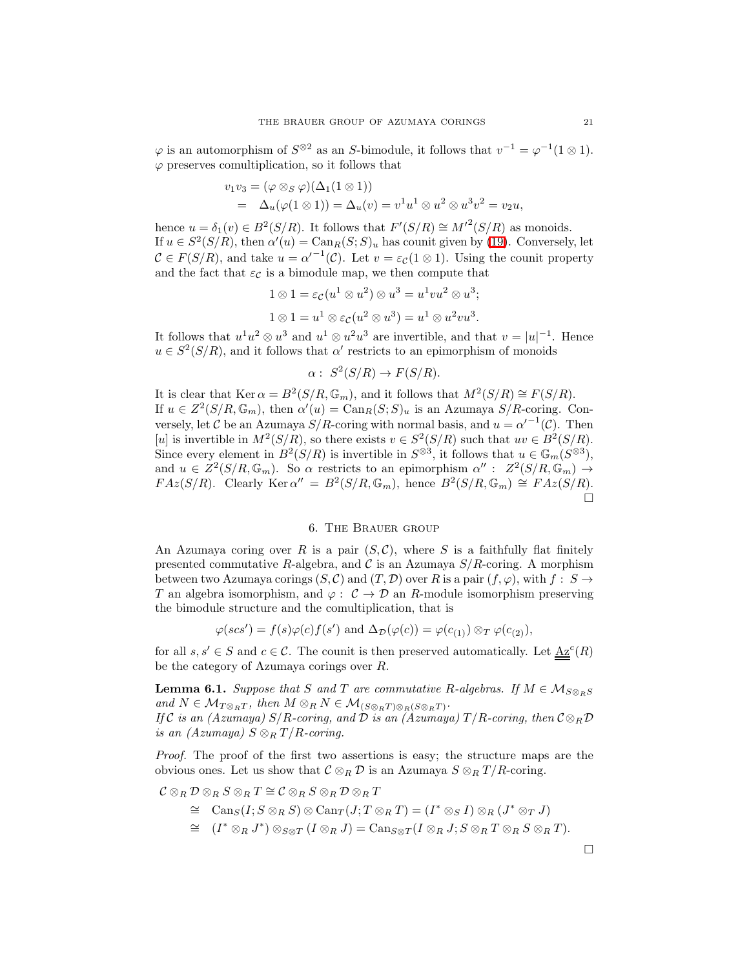$\varphi$  is an automorphism of  $S^{\otimes 2}$  as an S-bimodule, it follows that  $v^{-1} = \varphi^{-1}(1 \otimes 1)$ .  $\varphi$  preserves comultiplication, so it follows that

$$
v_1v_3 = (\varphi \otimes_S \varphi)(\Delta_1(1 \otimes 1))
$$
  
=  $\Delta_u(\varphi(1 \otimes 1)) = \Delta_u(v) = v^1u^1 \otimes u^2 \otimes u^3v^2 = v_2u,$ 

hence  $u = \delta_1(v) \in B^2(S/R)$ . It follows that  $F'(S/R) \cong M'^2(S/R)$  as monoids. If  $u \in S^2(S/R)$ , then  $\alpha'(u) = \text{Can}_R(S; S)_u$  has counit given by [\(19\)](#page-17-2). Conversely, let  $C \in F(S/R)$ , and take  $u = \alpha'^{-1}(C)$ . Let  $v = \varepsilon_c(1 \otimes 1)$ . Using the counit property and the fact that  $\varepsilon_{\mathcal{C}}$  is a bimodule map, we then compute that

$$
1 \otimes 1 = \varepsilon_{\mathcal{C}}(u^1 \otimes u^2) \otimes u^3 = u^1 vu^2 \otimes u^3;
$$
  

$$
1 \otimes 1 = u^1 \otimes \varepsilon_{\mathcal{C}}(u^2 \otimes u^3) = u^1 \otimes u^2 vu^3.
$$

It follows that  $u^1u^2 \otimes u^3$  and  $u^1 \otimes u^2u^3$  are invertible, and that  $v = |u|^{-1}$ . Hence  $u \in S^2(S/R)$ , and it follows that  $\alpha'$  restricts to an epimorphism of monoids

$$
\alpha: S^2(S/R) \to F(S/R).
$$

It is clear that  $\text{Ker } \alpha = B^2(S/R, \mathbb{G}_m)$ , and it follows that  $M^2(S/R) \cong F(S/R)$ . If  $u \in Z^2(S/R, \mathbb{G}_m)$ , then  $\alpha'(u) = \text{Can}_R(S; S)_u$  is an Azumaya  $S/R$ -coring. Conversely, let C be an Azumaya  $S/R$ -coring with normal basis, and  $u = \alpha'^{-1}(C)$ . Then [u] is invertible in  $M^2(S/R)$ , so there exists  $v \in S^2(S/R)$  such that  $uv \in B^2(S/R)$ . Since every element in  $B^2(S/R)$  is invertible in  $S^{\otimes 3}$ , it follows that  $u \in \mathbb{G}_m(S^{\otimes 3})$ , and  $u \in Z^2(S/R, \mathbb{G}_m)$ . So  $\alpha$  restricts to an epimorphism  $\alpha'' : Z^2(S/R, \mathbb{G}_m) \to$  $FAz(S/R)$ . Clearly  $\text{Ker }\alpha'' = B^2(S/R, \mathbb{G}_m)$ , hence  $B^2(S/R, \mathbb{G}_m) \cong FAz(S/R)$ . Ò

# 6. The Brauer group

An Azumaya coring over R is a pair  $(S, \mathcal{C})$ , where S is a faithfully flat finitely presented commutative R-algebra, and  $\mathcal C$  is an Azumaya  $S/R$ -coring. A morphism between two Azumaya corings  $(S, \mathcal{C})$  and  $(T, \mathcal{D})$  over R is a pair  $(f, \varphi)$ , with  $f : S \to$ T an algebra isomorphism, and  $\varphi: \mathcal{C} \to \mathcal{D}$  an R-module isomorphism preserving the bimodule structure and the comultiplication, that is

$$
\varphi(scs') = f(s)\varphi(c)f(s') \text{ and } \Delta_{\mathcal{D}}(\varphi(c)) = \varphi(c_{(1)}) \otimes_T \varphi(c_{(2)}),
$$

for all  $s, s' \in S$  and  $c \in \mathcal{C}$ . The counit is then preserved automatically. Let  $\underline{\mathbf{A}z}^c(R)$ be the category of Azumaya corings over R.

**Lemma 6.1.** Suppose that S and T are commutative R-algebras. If  $M \in \mathcal{M}_{S \otimes_R S}$ and  $N \in \mathcal{M}_{T \otimes_R T}$ , then  $M \otimes_R N \in \mathcal{M}_{(S \otimes_R T) \otimes_R (S \otimes_R T)}$ . If C is an (Azumaya) S/R-coring, and  $\hat{D}$  is an (Azumaya)  $T/R$ -coring, then  $C \otimes_R \mathcal{D}$ is an  $(Azumaya)$   $S \otimes_R T/R$ -coring.

Proof. The proof of the first two assertions is easy; the structure maps are the obvious ones. Let us show that  $C \otimes_R \mathcal{D}$  is an Azumaya  $S \otimes_R T/R$ -coring.

$$
\mathcal{C}\otimes_R \mathcal{D}\otimes_R S\otimes_R T\cong \mathcal{C}\otimes_R S\otimes_R \mathcal{D}\otimes_R T
$$

- $\cong$  Can<sub>S</sub>(I;  $S \otimes_R S$ )  $\otimes$  Can<sub>T</sub>(J;  $T \otimes_R T$ ) = (I<sup>\*</sup>  $\otimes_S I$ )  $\otimes_R (J^* \otimes_T J)$
- $\cong$   $(I^* \otimes_R J^*) \otimes_{S \otimes T} (I \otimes_R J) = \text{Can}_{S \otimes T} (I \otimes_R J; S \otimes_R T \otimes_R S \otimes_R T).$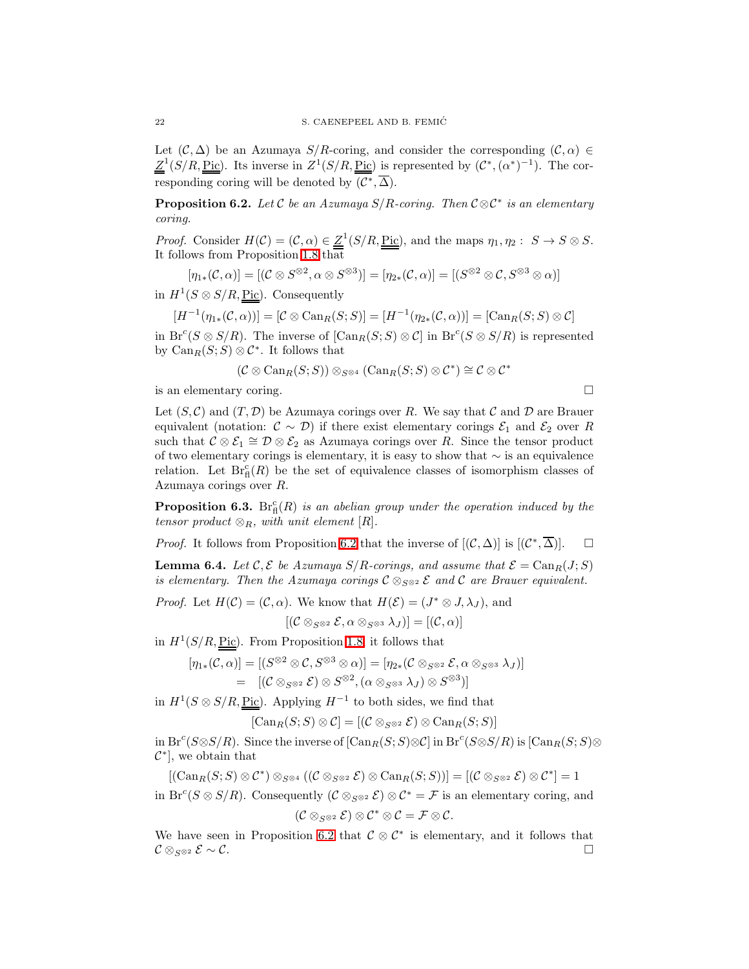Let  $(C, \Delta)$  be an Azumaya  $S/R$ -coring, and consider the corresponding  $(C, \alpha) \in$  $Z^1(S/R, \text{Pic})$ . Its inverse in  $Z^1(S/R, \text{Pic})$  is represented by  $(\mathcal{C}^*, (\alpha^*)^{-1})$ . The corresponding coring will be denoted by  $(\mathcal{C}^*, \overline{\Delta})$ .

<span id="page-21-0"></span>**Proposition 6.2.** Let C be an Azumaya  $S/R$ -coring. Then  $C \otimes C^*$  is an elementary coring.

*Proof.* Consider  $H(C) = (C, \alpha) \in \underline{Z}^1(S/R, \underline{Pic})$ , and the maps  $\eta_1, \eta_2 : S \to S \otimes S$ . It follows from Proposition [1.8](#page-6-1) that

$$
[\eta_{1*}(\mathcal{C}, \alpha)] = [(\mathcal{C} \otimes S^{\otimes 2}, \alpha \otimes S^{\otimes 3})] = [\eta_{2*}(\mathcal{C}, \alpha)] = [(\mathcal{S}^{\otimes 2} \otimes \mathcal{C}, S^{\otimes 3} \otimes \alpha)]
$$

in  $H^1(S \otimes S/R, \underline{\text{Pic}})$ . Consequently

$$
[H^{-1}(\eta_{1*}(\mathcal{C}, \alpha))] = [\mathcal{C} \otimes \text{Can}_{R}(S; S)] = [H^{-1}(\eta_{2*}(\mathcal{C}, \alpha))] = [\text{Can}_{R}(S; S) \otimes \mathcal{C}]
$$

in  $Br^c(S \otimes S/R)$ . The inverse of  $[\text{Can}_{R}(S; S) \otimes C]$  in  $Br^c(S \otimes S/R)$  is represented by  $\text{Can}_{R}(S; S) \otimes C^*$ . It follows that

$$
(\mathcal{C} \otimes \text{Can}_{R}(S; S)) \otimes_{S^{\otimes 4}} (\text{Can}_{R}(S; S) \otimes \mathcal{C}^*) \cong \mathcal{C} \otimes \mathcal{C}^*
$$

is an elementary coring.

Let  $(S, \mathcal{C})$  and  $(T, \mathcal{D})$  be Azumaya corings over R. We say that C and D are Brauer equivalent (notation:  $C \sim \mathcal{D}$ ) if there exist elementary corings  $\mathcal{E}_1$  and  $\mathcal{E}_2$  over R such that  $\mathcal{C} \otimes \mathcal{E}_1 \cong \mathcal{D} \otimes \mathcal{E}_2$  as Azumaya corings over  $R$ . Since the tensor product of two elementary corings is elementary, it is easy to show that ∼ is an equivalence relation. Let  $Br^c_{\text{fl}}(R)$  be the set of equivalence classes of isomorphism classes of Azumaya corings over R.

**Proposition 6.3.** Br<sub>fi</sub> $(R)$  is an abelian group under the operation induced by the tensor product  $\otimes_R$ , with unit element  $[R]$ .

*Proof.* It follows from Proposition [6.2](#page-21-0) that the inverse of  $[(\mathcal{C}, \Delta)]$  is  $[(\mathcal{C}^*, \overline{\Delta})]$ .  $\square$ 

<span id="page-21-1"></span>**Lemma 6.4.** Let  $\mathcal{C}, \mathcal{E}$  be Azumaya  $S/R$ -corings, and assume that  $\mathcal{E} = \text{Can}_{R}(J; S)$ is elementary. Then the Azumaya corings  $\mathcal{C} \otimes_{S \otimes 2} \mathcal{E}$  and  $\mathcal{C}$  are Brauer equivalent.

*Proof.* Let 
$$
H(C) = (C, \alpha)
$$
. We know that  $H(\mathcal{E}) = (J^* \otimes J, \lambda_J)$ , and

$$
[(\mathcal{C} \otimes_{S^{\otimes 2}} \mathcal{E}, \alpha \otimes_{S^{\otimes 3}} \lambda_J)] = [(\mathcal{C}, \alpha)]
$$

in  $H^1(S/R, \underline{Pic})$ . From Proposition [1.8,](#page-6-1) it follows that

$$
[\eta_{1*}(\mathcal{C}, \alpha)] = [S^{\otimes 2} \otimes \mathcal{C}, S^{\otimes 3} \otimes \alpha)] = [\eta_{2*}(\mathcal{C} \otimes_{S^{\otimes 2}} \mathcal{E}, \alpha \otimes_{S^{\otimes 3}} \lambda_J)]
$$
  
= [(\mathcal{C} \otimes\_{S^{\otimes 2}} \mathcal{E}) \otimes S^{\otimes 2}, (\alpha \otimes\_{S^{\otimes 3}} \lambda\_J) \otimes S^{\otimes 3})]

in  $H^1(S \otimes S/R, \underline{Pic})$ . Applying  $H^{-1}$  to both sides, we find that

$$
[\mathrm{Can}_R(S;S)\otimes\mathcal{C}]=[(\mathcal{C}\otimes_{S^{\otimes 2}}\mathcal{E})\otimes\mathrm{Can}_R(S;S)]
$$

in  $Br^c(S \otimes S/R)$ . Since the inverse of  $[Can_R(S;S) \otimes C]$  in  $Br^c(S \otimes S/R)$  is  $[Can_R(S;S) \otimes C]$  $\mathcal{C}^*$ , we obtain that

 $[(\text{Can}_{R}(S; S) \otimes C^*) \otimes_{S^{\otimes 4}} ((C \otimes_{S^{\otimes 2}} \mathcal{E}) \otimes \text{Can}_{R}(S; S))] = [(\mathcal{C} \otimes_{S^{\otimes 2}} \mathcal{E}) \otimes C^*] = 1$ 

in Br<sup>c</sup>(S ⊗ S/R). Consequently ( $C \otimes_{S^{\otimes 2}} C$ )  $\otimes C^* = \mathcal{F}$  is an elementary coring, and

$$
(\mathcal{C} \otimes_{S^{\otimes 2}} \mathcal{E}) \otimes \mathcal{C}^* \otimes \mathcal{C} = \mathcal{F} \otimes \mathcal{C}.
$$

We have seen in Proposition [6.2](#page-21-0) that  $\mathcal{C} \otimes \mathcal{C}^*$  is elementary, and it follows that  $\mathcal{C} \otimes_{S^{\otimes 2}} \mathcal{E} \sim \mathcal{C}.$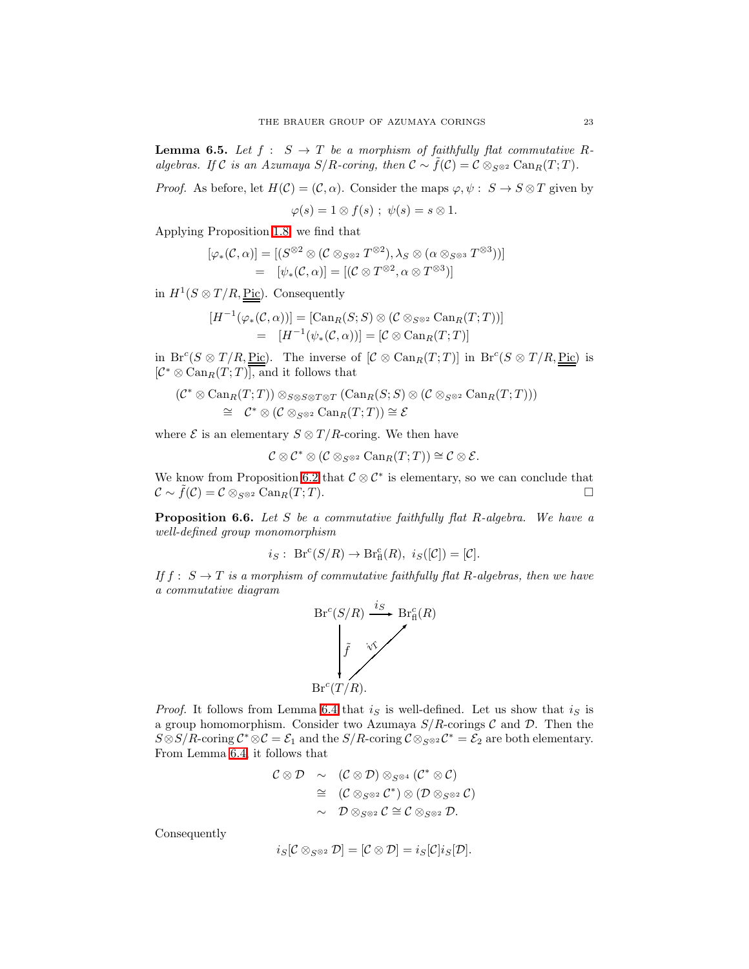<span id="page-22-0"></span>**Lemma 6.5.** Let  $f : S \to T$  be a morphism of faithfully flat commutative Ralgebras. If C is an Azumaya  $S/R$ -coring, then  $C \sim \tilde{f}(\mathcal{C}) = C \otimes_{S^{\otimes 2}} \text{Can}_{R}(T;T)$ .

*Proof.* As before, let  $H(\mathcal{C}) = (\mathcal{C}, \alpha)$ . Consider the maps  $\varphi, \psi : S \to S \otimes T$  given by

 $\varphi(s) = 1 \otimes f(s)$ ;  $\psi(s) = s \otimes 1$ .

Applying Proposition [1.8,](#page-6-1) we find that

$$
[\varphi_*(\mathcal{C}, \alpha)] = [(S^{\otimes 2} \otimes (\mathcal{C} \otimes_{S^{\otimes 2}} T^{\otimes 2}), \lambda_S \otimes (\alpha \otimes_{S^{\otimes 3}} T^{\otimes 3}))]
$$
  
= 
$$
[\psi_*(\mathcal{C}, \alpha)] = [(\mathcal{C} \otimes T^{\otimes 2}, \alpha \otimes T^{\otimes 3})]
$$

in  $H^1(S \otimes T/R, \underline{Pic})$ . Consequently

$$
[H^{-1}(\varphi_*(\mathcal{C}, \alpha))] = [\text{Can}_R(S; S) \otimes (\mathcal{C} \otimes_{S^{\otimes 2}} \text{Can}_R(T; T))]
$$
  
= 
$$
[H^{-1}(\psi_*(\mathcal{C}, \alpha))] = [\mathcal{C} \otimes \text{Can}_R(T; T)]
$$

in  $Br^c(S \otimes T/R, Pic)$ . The inverse of  $[\mathcal{C} \otimes \text{Can}_R(T;T)]$  in  $Br^c(S \otimes T/R, Pic)$  is  $\left[\mathcal{C}^* \otimes \text{Can}_{R}(T; T)\right]$ , and it follows that

$$
(\mathcal{C}^* \otimes \text{Can}_R(T; T)) \otimes_{S \otimes S \otimes T \otimes T} (\text{Can}_R(S; S) \otimes (\mathcal{C} \otimes_{S \otimes 2} \text{Can}_R(T; T)))
$$
  
\n
$$
\cong \mathcal{C}^* \otimes (\mathcal{C} \otimes_{S \otimes 2} \text{Can}_R(T; T)) \cong \mathcal{E}
$$

where  $\mathcal E$  is an elementary  $S \otimes T/R$ -coring. We then have

$$
\mathcal{C}\otimes\mathcal{C}^*\otimes(\mathcal{C}\otimes_{S^{\otimes 2}}\operatorname{Can}_R(T;T))\cong\mathcal{C}\otimes\mathcal{E}.
$$

We know from Proposition [6.2](#page-21-0) that  $\mathcal{C} \otimes \mathcal{C}^*$  is elementary, so we can conclude that  $\mathcal{C} \sim \tilde{f}(\mathcal{C}) = \mathcal{C} \otimes_{S^{\otimes 2}} \text{Can}_{R}(T; T).$ 

<span id="page-22-1"></span>**Proposition 6.6.** Let  $S$  be a commutative faithfully flat  $R$ -algebra. We have a well-defined group monomorphism

$$
i_S
$$
: Br<sup>c</sup> $(S/R)$   $\rightarrow$  Br<sub>f</sub><sup>c</sup> $(R)$ ,  $i_S([\mathcal{C}]) = [\mathcal{C}].$ 

If  $f: S \to T$  is a morphism of commutative faithfully flat R-algebras, then we have a commutative diagram



*Proof.* It follows from Lemma [6.4](#page-21-1) that  $i<sub>S</sub>$  is well-defined. Let us show that  $i<sub>S</sub>$  is a group homomorphism. Consider two Azumaya  $S/R$ -corings  $C$  and  $D$ . Then the  $S \otimes S/R$ -coring  $\mathcal{C}^* \otimes \mathcal{C} = \mathcal{E}_1$  and the  $S/R$ -coring  $\mathcal{C} \otimes_{S \otimes 2} \mathcal{C}^* = \mathcal{E}_2$  are both elementary. From Lemma [6.4,](#page-21-1) it follows that

$$
\begin{array}{rcl}\n\mathcal{C}\otimes\mathcal{D} & \sim & (\mathcal{C}\otimes\mathcal{D})\otimes_{S^{\otimes 4}}(\mathcal{C}^{*}\otimes\mathcal{C}) \\
&\cong & (\mathcal{C}\otimes_{S^{\otimes 2}}\mathcal{C}^{*})\otimes(\mathcal{D}\otimes_{S^{\otimes 2}}\mathcal{C}) \\
&\sim & \mathcal{D}\otimes_{S^{\otimes 2}}\mathcal{C}\cong\mathcal{C}\otimes_{S^{\otimes 2}}\mathcal{D}.\n\end{array}
$$

Consequently

$$
i_S[\mathcal{C}\otimes_{S^{\otimes 2}}\mathcal{D}]=[\mathcal{C}\otimes \mathcal{D}]=i_S[\mathcal{C}]i_S[\mathcal{D}].
$$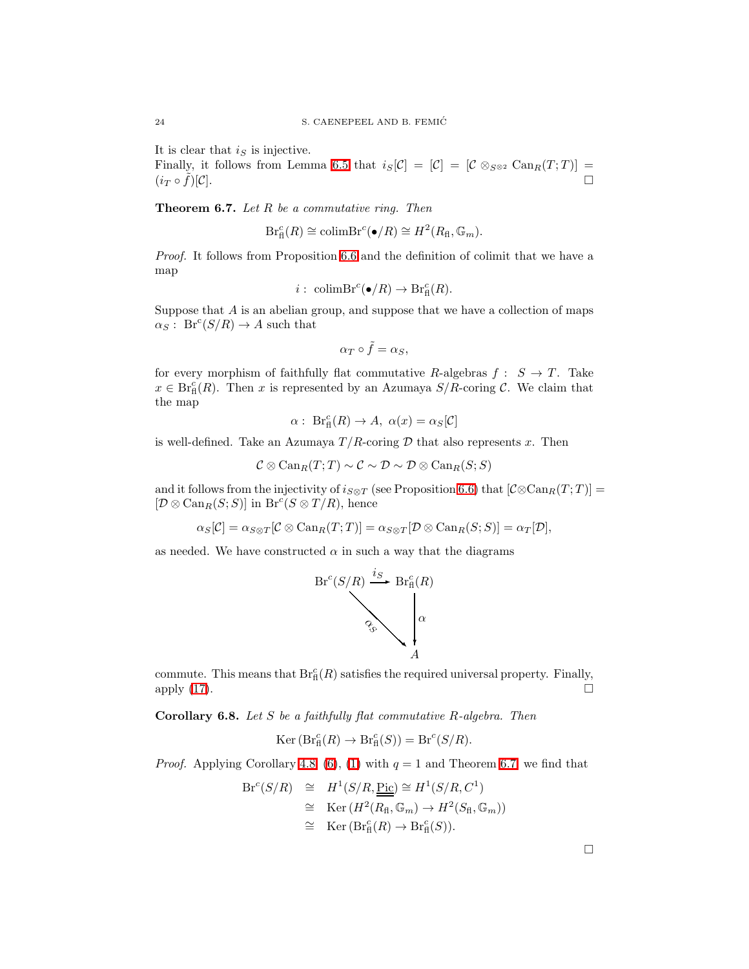It is clear that  $i<sub>S</sub>$  is injective.

Finally, it follows from Lemma [6.5](#page-22-0) that  $i_S[\mathcal{C}] = [\mathcal{C}] = [\mathcal{C} \otimes_{S^{\otimes 2}} \text{Can}_R(T; T)] =$  $(i_T \circ f)[\mathcal{C}].$  $\tilde{f})[\mathcal{C}].$ 

<span id="page-23-0"></span>**Theorem 6.7.** Let  $R$  be a commutative ring. Then

$$
\mathrm{Br}_{\mathrm{fl}}^c(R) \cong \mathrm{colimBr}^c(\bullet/R) \cong H^2(R_{\mathrm{fl}}, \mathbb{G}_m).
$$

Proof. It follows from Proposition [6.6](#page-22-1) and the definition of colimit that we have a map

$$
i: \ \text{colimBr}^c(\bullet/R) \to \text{Br}_\text{fl}^c(R).
$$

Suppose that  $A$  is an abelian group, and suppose that we have a collection of maps  $\alpha_S: \operatorname{Br}^c(S/R) \to A$  such that

$$
\alpha_T\circ \tilde{f}=\alpha_S,
$$

for every morphism of faithfully flat commutative R-algebras  $f: S \to T$ . Take  $x \in \text{Br}_{\text{fl}}^c(R)$ . Then x is represented by an Azumaya  $S/R$ -coring C. We claim that the map

$$
\alpha: \operatorname{Br}_{\mathrm{fl}}^c(R) \to A, \ \alpha(x) = \alpha_S[\mathcal{C}]
$$

is well-defined. Take an Azumaya  $T/R$ -coring  $D$  that also represents x. Then

$$
\mathcal{C}\otimes \operatorname{Can}_R(T;T)\sim \mathcal{C}\sim \mathcal{D}\sim \mathcal{D}\otimes \operatorname{Can}_R(S;S)
$$

and it follows from the injectivity of  $i_{S\otimes T}$  (see Proposition [6.6\)](#page-22-1) that  $[\mathcal{C}\otimes \mathrm{Can}_{R}(T; T)]=$  $[\mathcal{D}\otimes \text{Can}_R(S; S)]$  in  $\text{Br}^c(S\otimes T/R)$ , hence

$$
\alpha_S[\mathcal{C}]=\alpha_{S\otimes T}[\mathcal{C}\otimes \operatorname{Can}_R(T;T)]=\alpha_{S\otimes T}[\mathcal{D}\otimes \operatorname{Can}_R(S;S)]=\alpha_T[\mathcal{D}],
$$

as needed. We have constructed  $\alpha$  in such a way that the diagrams



commute. This means that  $Br^c_{\text{fl}}(R)$  satisfies the required universal property. Finally, apply  $(17)$ .

**Corollary 6.8.** Let S be a faithfully flat commutative R-algebra. Then

$$
Ker(Brfc(R) \to Brfc(S) = Brc(S/R).
$$

*Proof.* Applying Corollary [4.8,](#page-16-0) [\(6\)](#page-6-2), [\(1\)](#page-4-0) with  $q = 1$  and Theorem [6.7,](#page-23-0) we find that

$$
Br^{c}(S/R) \cong H^{1}(S/R, \underline{\underline{Pic}}) \cong H^{1}(S/R, C^{1})
$$
  
\n
$$
\cong \text{Ker}(H^{2}(R_{\mathrm{fl}}, \mathbb{G}_{m}) \to H^{2}(S_{\mathrm{fl}}, \mathbb{G}_{m}))
$$
  
\n
$$
\cong \text{Ker}(\text{Br}_{\mathrm{fl}}^{c}(R) \to \text{Br}_{\mathrm{fl}}^{c}(S)).
$$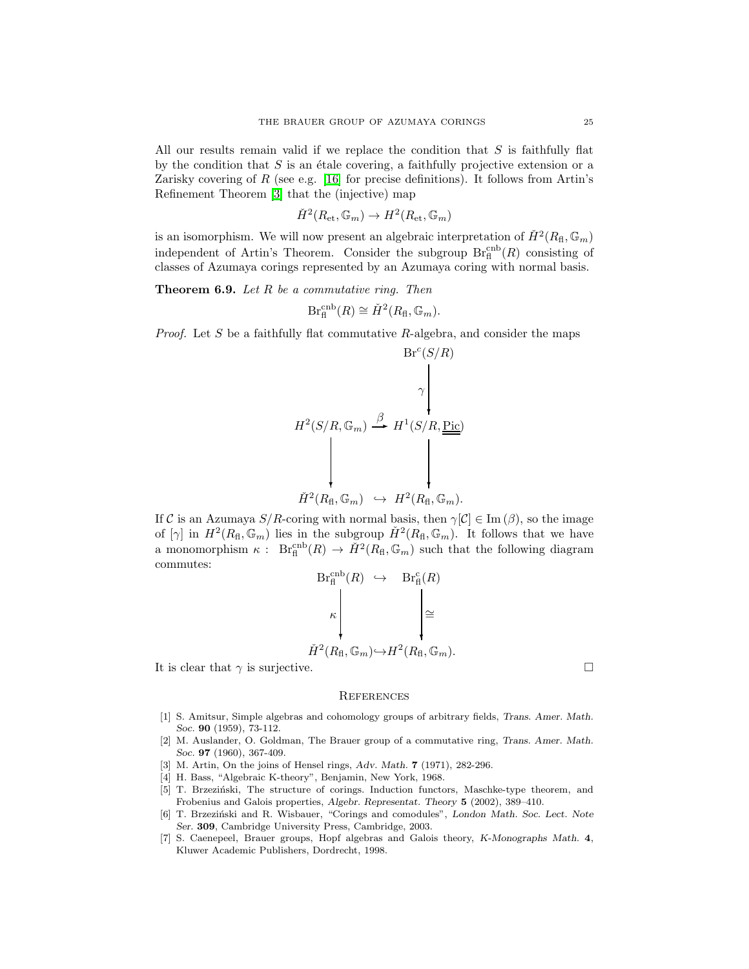All our results remain valid if we replace the condition that  $S$  is faithfully flat by the condition that  $S$  is an étale covering, a faithfully projective extension or a Zarisky covering of  $R$  (see e.g. [\[16\]](#page-25-7) for precise definitions). It follows from Artin's Refinement Theorem [\[3\]](#page-24-1) that the (injective) map

$$
\check{H}^{2}(R_{\mathrm{\acute{e}t}},\mathbb{G}_{m})\to H^{2}(R_{\mathrm{\acute{e}t}},\mathbb{G}_{m})
$$

is an isomorphism. We will now present an algebraic interpretation of  $\check{H}^2(R_{\text{fl}}, \mathbb{G}_m)$ independent of Artin's Theorem. Consider the subgroup  $\text{Br}_{\text{fl}}^{\text{cmb}}(R)$  consisting of classes of Azumaya corings represented by an Azumaya coring with normal basis.

**Theorem 6.9.** Let  $R$  be a commutative ring. Then

$$
\mathrm{Br}_{\mathrm{fl}}^{\mathrm{cmb}}(R) \cong \check{H}^2(R_{\mathrm{fl}}, \mathbb{G}_m).
$$

*Proof.* Let S be a faithfully flat commutative  $R$ -algebra, and consider the maps

$$
H^{2}(S/R, \mathbb{G}_{m}) \xrightarrow{\beta} H^{1}(S/R, \underline{\underline{\mathrm{Pic}}})
$$
  

$$
H^{2}(S/R, \mathbb{G}_{m}) \xrightarrow{\beta} H^{1}(S/R, \underline{\underline{\mathrm{Pic}}})
$$
  

$$
\check{H}^{2}(R_{\mathrm{fl}}, \mathbb{G}_{m}) \hookrightarrow H^{2}(R_{\mathrm{fl}}, \mathbb{G}_{m}).
$$

If C is an Azumaya  $S/R$ -coring with normal basis, then  $\gamma[\mathcal{C}] \in \text{Im}(\beta)$ , so the image of  $[\gamma]$  in  $H^2(R_{\rm fl},\mathbb{G}_m)$  lies in the subgroup  $\check{H}^2(R_{\rm fl},\mathbb{G}_m)$ . It follows that we have a monomorphism  $\kappa$ :  $Br_{\text{fl}}^{\text{cnb}}(R) \to \check{H}^2(R_{\text{fl}}, \mathbb{G}_m)$  such that the following diagram commutes:

$$
Br_{\mathrm{fl}}^{\mathrm{cmb}}(R) \hookrightarrow Br_{\mathrm{fl}}^{\mathrm{c}}(R)
$$

$$
\kappa \downarrow \qquad \qquad \downarrow \cong
$$

$$
\check{H}^{2}(R_{\mathrm{fl}}, \mathbb{G}_{m}) \hookrightarrow H^{2}(R_{\mathrm{fl}}, \mathbb{G}_{m}).
$$

It is clear that  $\gamma$  is surjective.

#### **REFERENCES**

- <span id="page-24-4"></span>[1] S. Amitsur, Simple algebras and cohomology groups of arbitrary fields, Trans. Amer. Math. Soc. 90 (1959), 73-112.
- <span id="page-24-0"></span>[2] M. Auslander, O. Goldman, The Brauer group of a commutative ring, Trans. Amer. Math. Soc. 97 (1960), 367-409.
- <span id="page-24-6"></span><span id="page-24-1"></span>[3] M. Artin, On the joins of Hensel rings, Adv. Math. **7** (1971), 282-296.
- <span id="page-24-2"></span>[4] H. Bass, "Algebraic K-theory", Benjamin, New York, 1968.
- [5] T. Brzeziński, The structure of corings. Induction functors, Maschke-type theorem, and Frobenius and Galois properties, Algebr. Representat. Theory 5 (2002), 389–410.
- <span id="page-24-3"></span>[6] T. Brzeziński and R. Wisbauer, "Corings and comodules", London Math. Soc. Lect. Note Ser. 309, Cambridge University Press, Cambridge, 2003.
- <span id="page-24-5"></span>[7] S. Caenepeel, Brauer groups, Hopf algebras and Galois theory, K-Monographs Math. 4, Kluwer Academic Publishers, Dordrecht, 1998.